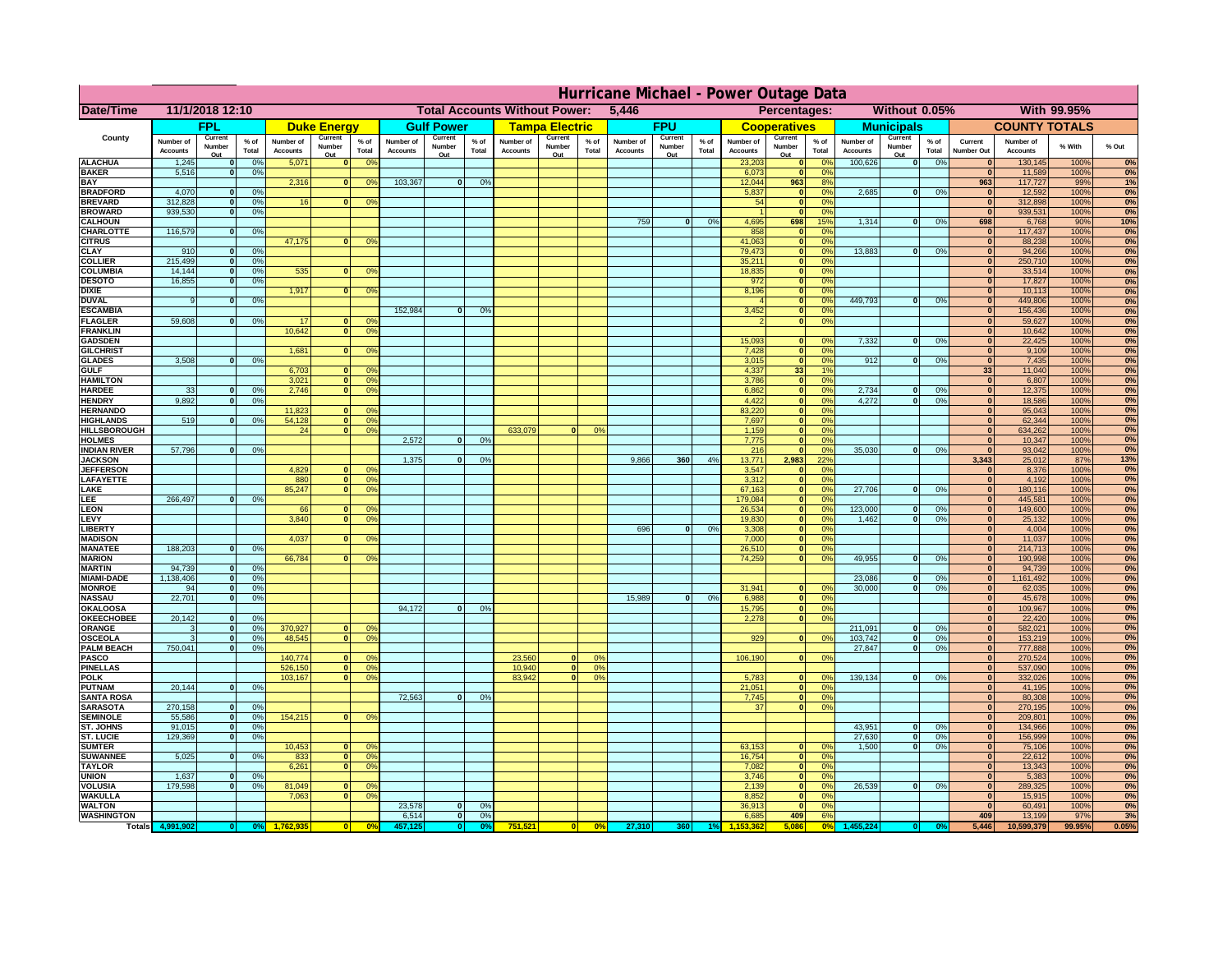| 11/1/2018 12:10<br><b>Total Accounts Without Power:</b><br>Without 0.05%<br>With 99.95%<br>Date/Time<br>5,446<br>Percentages:<br><b>FPU</b><br>FPL<br><b>Gulf Power</b><br><b>Tampa Electric</b><br><b>Municipals</b><br><b>COUNTY TOTALS</b><br><b>Duke Energy</b><br><b>Cooperatives</b><br>County<br>Current<br>Current<br>Current<br>Current<br>Current<br>Current<br>Current<br>$%$ of<br>$%$ of<br>$%$ of<br>$%$ of<br>Number of<br>$%$ of<br>Number of<br>Number of<br>$%$ of<br>Number of<br>Number of<br>$%$ of<br>Number of<br>Number of<br>Current<br>Number of<br>% With<br>% Out<br>Number<br>Number<br>Number<br>Number<br>Number<br>Number<br>Number<br>Total<br>Total<br>Total<br>Total<br>Total<br>Total<br><b>Accounts</b><br>Total<br><b>Accounts</b><br><b>Accounts</b><br>Accounts<br><b>Accounts</b><br><b>Accounts</b><br><b>Number Out</b><br><b>Accounts</b><br><b>Accounts</b><br>Out<br>Out<br>Out<br>Out<br>Out<br>Out<br>Out<br><b>ALACHUA</b><br>1,245<br>0%<br>5,071<br>0 <sup>9</sup><br>23,203<br>100,626<br> 0 <br>0%<br>130,145<br>100%<br>0%<br>$\mathbf{0}$<br>$\mathbf{0}$<br>$\mathbf{0}$<br>$\Omega$ <sup>c</sup><br>$\bf{0}$<br><b>BAKER</b><br>5,516<br>0%<br>6,073<br>0 <sup>9</sup><br>11,589<br>100%<br>$\mathbf{0}$<br>$\mathbf{0}$<br>$\bf{0}$<br>103,367<br><b>BAY</b><br>2,316<br>$\overline{0}$<br>0%<br>12,044<br>963<br>8%<br>963<br>117,727<br>99%<br>1%<br>$\mathbf{0}$<br>0 <sup>9</sup><br><b>BRADFORD</b><br>4,070<br>0%<br>5,837<br>0%<br>2,685<br> 0 <br>0%<br>12,592<br>100%<br>$\mathbf{0}$<br>$\mathbf{0}$<br>$\bf{0}$<br>0%<br><b>BREVARD</b><br>312,828<br>0%<br>16<br>54<br>$\mathbf{0}$<br>0 <sup>9</sup><br>312,898<br>100%<br>$\Omega$<br>$\Omega$<br>0 <sup>o</sup><br>$\bf{0}$<br>0%<br><b>BROWARD</b><br>939.530<br>0%<br>$\mathbf{0}$<br>0 <sup>9</sup><br>939,531<br>100%<br>$\Omega$<br>$\bf{0}$<br>759<br>4,695<br>1,314<br><b>CALHOUN</b><br> 0 <br>0%<br>698<br>15%<br> 0 <br>0%<br>698<br>6,768<br>90%<br>10%<br>116,579<br>858<br>0%<br>CHARLOTTE<br>0%<br>$\mathbf{0}$<br>$\Omega$ <sup>c</sup><br>117,437<br>100%<br>$\mathbf{0}$<br>$\bf{0}$<br>47,175<br>41,063<br>88,238<br><b>CITRUS</b><br>0 <sup>o</sup><br>$\mathbf{0}$<br>$\Omega$ <sup>c</sup><br>$\mathbf{0}$<br>100%<br>$\mathbf{0}$<br>79,473<br><b>CLAY</b><br>13,883<br>94,266<br>100%<br>910<br>0%<br>$\mathbf{0}$<br>0 <sup>9</sup><br>$\Omega$<br>0%<br>$\mathbf{0}$<br>$\mathbf{0}$<br>215,499<br>250,710<br><b>COLLIER</b><br>35,211<br>0 <sup>9</sup><br>100%<br>0%<br>$\mathbf{0}$<br>0 <sup>9</sup><br>$\mathbf{0}$<br>$\mathbf{0}$<br>535<br><b>COLUMBIA</b><br>14,144<br>18,835<br>0 <sup>9</sup><br>33,514<br>100%<br>0%<br>$\mathbf{0}$<br>0%<br>0 <sup>9</sup><br>$\mathbf{0}$<br>$\bf{0}$<br>$\bf{0}$<br>16,855<br>972<br>17,827<br>100%<br><b>DESOTO</b><br>0 <sup>9</sup><br>$\mathbf{0}$<br>0%<br>$\mathbf{0}$<br>$\bf{0}$<br>1,917<br><b>DIXIE</b><br>8,196<br>10,113<br>100%<br>0 <sup>9</sup><br>$\mathbf{0}$<br>0 <sup>9</sup><br>$\Omega$<br>$\bf{0}$<br>449.793<br>449,806<br><b>DUVAL</b><br>0%<br>100%<br>0%<br>$\mathbf{0}$<br>0 <sup>9</sup><br>$\mathbf{0}$<br>0%<br>9<br>$\Omega$<br>$\bf{0}$<br>152,984<br>3,452<br>156,436<br><b>ESCAMBIA</b><br>0%<br>100%<br>0%<br> 0 <br>0%<br>$\mathbf{0}$<br>$\mathbf{0}$<br><b>FLAGLER</b><br>59,608<br>0%<br>59,627<br>100%<br>0%<br>17<br>$\mathbf{0}$<br>$\mathbf{0}$<br>$\Omega$<br>0°<br><b>FRANKLIN</b><br>10,642<br>0 <sup>9</sup><br>10,642<br>100%<br> 0 <br>$\bf{0}$<br>15,093<br>7,332<br>22,425<br><b>GADSDEN</b><br>0%<br>$\overline{0}$<br>100%<br>0%<br>0 <sup>9</sup><br> 0 <br>$\mathbf{0}$<br>1,681<br>7,428<br>0%<br>9,109<br>100%<br><b>GILCHRIST</b><br>0 <sup>9</sup><br>ō<br>$\overline{0}$<br>0%<br>$\Omega$<br>3,508<br>0%<br>3,015<br> 0 <br>0%<br>912<br>$\overline{0}$<br>0%<br>7,435<br>100%<br><b>GLADES</b><br>$\mathbf{0}$<br>$\mathbf{0}$<br>33<br>6,703<br>4,337<br>1%<br>33<br>11,040<br>100%<br><b>GULF</b><br>n l<br>0 <sup>9</sup><br><b>HAMILTON</b><br>3,021<br>$\overline{0}$<br>0 <sup>9</sup><br>3,786<br>$\overline{0}$<br>0%<br> 0 <br>6,807<br>100%<br>0%<br>33<br>0%<br>2.746<br>6,862<br> 0 <br>2,734<br>12,375<br>100%<br><b>HARDEE</b><br>n l<br>0 <sup>9</sup><br>0%<br>$\mathbf{0}$<br>0%<br> 0 <br>0%<br>$\mathbf{0}$<br>9,892<br>4,272<br><b>HENDRY</b><br>$\Omega$<br>0%<br>4,422<br>$\mathbf{0}$<br>0%<br>$\mathbf{0}$<br>0%<br> 0 <br>18,586<br>100%<br>0%<br><b>HERNANDO</b><br>11,823<br>0 <sup>9</sup><br>83,220<br>$\mathbf{0}$<br>0%<br> 0 <br>95,043<br>100%<br>519<br>54,128<br><b>HIGHLANDS</b><br>0%<br>$\mathbf{0}$<br>0 <sup>9</sup><br>7,697<br>$\mathbf{0}$<br>0%<br>$\mathbf{0}$<br>62,344<br>100%<br>0%<br>$\mathbf{0}$<br>633,079<br><b>HILLSBOROUGH</b><br>24<br> 0 <br>0 <sup>9</sup><br>0%<br>1,159<br>$\mathbf{0}$<br>0%<br>$\mathbf{0}$<br>634,262<br>100%<br>0%<br>$\Omega$<br>2,572<br>7,775<br><b>HOLMES</b><br>$\Omega$<br>0%<br>$\mathbf{0}$<br>0 <sup>9</sup><br>$\mathbf{0}$<br>10,347<br>100%<br>57,796<br>35,030<br>0%<br>93,042<br><b>INDIAN RIVER</b><br>nl<br>0%<br>216<br>$\mathbf{0}$<br>0%<br>$\mathbf{0}$<br>$\mathbf{0}$<br>100%<br>1.375<br>9.866<br>360<br>4%<br>13,771<br>2.983<br>22%<br>3.343<br>25,012<br><b>JACKSON</b><br>$\Omega$<br>0%<br>87%<br>13%<br>4.829<br><b>JEFFERSON</b><br>$\Omega$<br>0 <sup>9</sup><br>3,547<br>0%<br>$\mathbf{0}$<br>8,376<br>100%<br>0%<br>$\Omega$<br>$\overline{0}$<br>0%<br>3.312<br>4.192<br>LAFAYETTE<br>880<br>$\mathbf{0}$<br>0%<br> 0 <br>100%<br>85,247<br>$\mathbf{0}$<br>0 <sup>9</sup><br>67,163<br>27,706<br>180,116<br>LAKE<br>$\Omega$<br>0%<br>n l<br>0%<br> 0 <br>100%<br>266,497<br>0%<br>179,084<br>445,581<br>0%<br>EE.<br>0%<br> 0 <br>100%<br>123,000<br>LEON<br>26,534<br>0%<br>149,600<br>100%<br>0%<br>66<br>$\mathbf{0}$<br>0 <sup>o</sup><br>0%<br>$\bf{0}$<br> 0 <br>LEVY<br>3,840<br>0 <sup>9</sup><br>19,830<br>0%<br>1,462<br>0%<br> 0 <br>25,132<br>100%<br>$\Omega$<br>$\Omega$<br><b>LIBERT</b><br>696<br> 0 <br>0%<br>3,308<br>0%<br>4,004<br>100%<br> 0 <br>0%<br><b>MADISON</b><br>4,037<br>7,000<br>0%<br>11,037<br>100%<br>0 <sup>9</sup><br> 0 <br>188,203<br>0%<br><b>MANATEE</b><br>0<br>0%<br>26,510<br>0%<br>214,713<br>100%<br> 0 <br>66,784<br>49,955<br><b>MARION</b><br>0 <sup>9</sup><br>74,259<br>0%<br>$\mathbf{0}$<br>0%<br> 0 <br>190,998<br>100%<br>$\Omega$<br>94,739<br><b>MARTIN</b><br> 0 <br>0%<br> 0 <br>94,739<br>100%<br>0%<br>1,138,406<br>23,086<br><b>MIAMI-DADE</b><br> 0 <br>0%<br> 0 <br>0%<br> 0 <br>1,161,492<br>100%<br>0%<br><b>MONROE</b><br>31,941<br>94<br> 0 <br>0%<br>30,000<br>$\Omega$<br>0%<br> 0 <br>62,035<br>100%<br>0 <sup>9</sup><br>22,701<br>15,989<br><b>NASSAU</b><br>6,988<br> 0 <br>0%<br> 0 <br>0%<br>$\mathbf{0}$<br>0 <sup>9</sup><br>$\mathbf{0}$<br>45,678<br>100%<br>94,172<br>OKALOOSA<br>0%<br>0%<br>$\mathbf{0}$<br>15,795<br> 0 <br>$\mathbf{0}$<br>109,967<br>100%<br>20,142<br>0%<br>0%<br><b>OKEECHOBEE</b><br>2,278<br>0%<br> 0 <br> 0 <br>$\mathbf{0}$<br>22,420<br>100%<br>211,091<br>370,927<br>0%<br>ORANGE<br>0%<br>$\mathbf{0}$<br>582,021<br>100%<br> 0 <br>$\mathbf{0}$<br>0 <sup>o</sup><br>0%<br>$\mathbf{0}$<br>3<br>48,545<br>929<br>103,742<br>0%<br>0 <sup>9</sup><br>0%<br>153,219<br>100%<br><b>OSCEOLA</b><br> 0 <br>$\Omega$<br>$\Omega$<br>0 <sup>9</sup><br> 0 <br> 0 <br>3<br>750,041<br><b>PALM BEACH</b><br>27,847<br>0%<br>777,888<br>100%<br>0%<br>$\overline{0}$<br>$\mathbf{0}$<br> 0 <br>140,774<br><b>PASCO</b><br>23,560<br>106,190<br>270,524<br>100%<br>0 <sup>9</sup><br> 0 <br>0 <sup>9</sup><br>$\mathbf{0}$<br>0%<br>$\mathbf{0}$<br>$\Omega$<br>0 <sup>9</sup><br><b>PINELLAS</b><br>526,150<br>0 <sup>9</sup><br>10,940<br>0%<br>537,090<br>100%<br>0%<br> 0 <br>$\mathbf{0}$<br> 0 <br>103,167<br>83,942<br>139,134<br><b>POLK</b><br>0 <sup>9</sup><br> 0 <br>0%<br>5,783<br> 0 <br>0%<br>332,026<br>100%<br> 0 <br>$\mathbf{0}$<br>$\Omega$<br>no<br>20,144<br>0%<br>21,051<br><b>PUTNAM</b><br> 0 <br>0 <sup>9</sup><br>41,195<br>100%<br>$\mathbf{0}$<br>$\mathbf{0}$<br>72,563<br><b>SANTA ROSA</b><br> 0 <br>0%<br>7,745<br> 0 <br>0%<br>80,308<br>100%<br>0%<br>$\mathbf{0}$<br>270,158<br>$\overline{0}$<br>270,195<br><b>SARASOTA</b><br>0<br>0%<br>37<br>0%<br>$\mathbf{0}$<br>100%<br>0%<br>55,586<br>154,215<br><b>SEMINOLE</b><br> 0 <br>0%<br>$\mathbf{0}$<br>0 <sup>9</sup><br>$\mathbf{0}$<br>209,801<br>100%<br>91,015<br>43,951<br><b>ST. JOHNS</b><br>0<br>0%<br> 0 <br>0%<br>$\mathbf{0}$<br>134,966<br>100%<br>129.369<br>27,630<br>0%<br>156.999<br>0%<br><b>ST. LUCIE</b><br>$\mathbf{0}$<br>0%<br>$\overline{0}$<br> 0 <br>100%<br>10,453<br>63,153<br>1.500<br>0%<br>75,106<br>100%<br>0%<br><b>SUMTER</b><br>$\mathbf{0}$<br>0 <sup>9</sup><br>0 <sup>o</sup><br>$\overline{0}$<br>$\mathbf{0}$<br>$\mathbf{0}$<br>5,025<br><b>SUWANNEE</b><br>0%<br>833<br> 0 <br>0 <sup>9</sup><br>16,754<br>22,612<br>100%<br>$\Omega$<br>$\mathbf{0}$<br>0 <sup>9</sup><br>$\mathbf{0}$<br><b>TAYLOR</b><br>6,261<br> 0 <br>0 <sup>9</sup><br>7,082<br>$\mathbf{0}$<br>0%<br>13,343<br>100%<br>$\mathbf{0}$<br><b>UNION</b><br>1,637<br>0%<br>3,746<br>5,383<br>100%<br>0%<br>$\mathbf{0}$<br>$\mathbf{0}$<br>0 <sup>9</sup><br>$\mathbf{0}$<br>26,539<br><b>VOLUSIA</b><br>179,598<br>0%<br>81,049<br>2,139<br> 0 <br>0%<br>289,325<br>100%<br>0%<br>$\mathbf{0}$<br>$\bf{0}$<br>0 <sup>9</sup><br>$\mathbf{0}$<br>0 <sup>9</sup><br>$\mathbf{0}$<br><b>WAKULLA</b><br>7,063<br>0 <sup>9</sup><br>8,852<br>0 <sup>9</sup><br>15,915<br>100%<br>$\mathbf{0}$<br>$\mathbf{0}$<br>$\mathbf{0}$<br>23,578<br><b>WALTON</b><br>$\mathbf{0}$<br>0%<br>36,913<br>$\mathbf{0}$<br>60,491<br>100%<br>0 <sup>9</sup><br>$\mathbf{0}$<br><b>WASHINGTON</b><br>6,514<br>6,685<br>409<br>409<br> 0 <br>0%<br>6%<br>13,199<br>97%<br>3%<br>751,521<br>0%<br>27,310<br>5,086<br>0%<br>5,446<br>0.05%<br><b>Totals</b><br>$\mathbf{0}$<br>10,599,379<br>99.95%<br>0°<br>360 | Hurricane Michael - Power Outage Data |  |  |  |  |  |  |  |  |  |  |  |  |  |  |  |  |  |    |
|---------------------------------------------------------------------------------------------------------------------------------------------------------------------------------------------------------------------------------------------------------------------------------------------------------------------------------------------------------------------------------------------------------------------------------------------------------------------------------------------------------------------------------------------------------------------------------------------------------------------------------------------------------------------------------------------------------------------------------------------------------------------------------------------------------------------------------------------------------------------------------------------------------------------------------------------------------------------------------------------------------------------------------------------------------------------------------------------------------------------------------------------------------------------------------------------------------------------------------------------------------------------------------------------------------------------------------------------------------------------------------------------------------------------------------------------------------------------------------------------------------------------------------------------------------------------------------------------------------------------------------------------------------------------------------------------------------------------------------------------------------------------------------------------------------------------------------------------------------------------------------------------------------------------------------------------------------------------------------------------------------------------------------------------------------------------------------------------------------------------------------------------------------------------------------------------------------------------------------------------------------------------------------------------------------------------------------------------------------------------------------------------------------------------------------------------------------------------------------------------------------------------------------------------------------------------------------------------------------------------------------------------------------------------------------------------------------------------------------------------------------------------------------------------------------------------------------------------------------------------------------------------------------------------------------------------------------------------------------------------------------------------------------------------------------------------------------------------------------------------------------------------------------------------------------------------------------------------------------------------------------------------------------------------------------------------------------------------------------------------------------------------------------------------------------------------------------------------------------------------------------------------------------------------------------------------------------------------------------------------------------------------------------------------------------------------------------------------------------------------------------------------------------------------------------------------------------------------------------------------------------------------------------------------------------------------------------------------------------------------------------------------------------------------------------------------------------------------------------------------------------------------------------------------------------------------------------------------------------------------------------------------------------------------------------------------------------------------------------------------------------------------------------------------------------------------------------------------------------------------------------------------------------------------------------------------------------------------------------------------------------------------------------------------------------------------------------------------------------------------------------------------------------------------------------------------------------------------------------------------------------------------------------------------------------------------------------------------------------------------------------------------------------------------------------------------------------------------------------------------------------------------------------------------------------------------------------------------------------------------------------------------------------------------------------------------------------------------------------------------------------------------------------------------------------------------------------------------------------------------------------------------------------------------------------------------------------------------------------------------------------------------------------------------------------------------------------------------------------------------------------------------------------------------------------------------------------------------------------------------------------------------------------------------------------------------------------------------------------------------------------------------------------------------------------------------------------------------------------------------------------------------------------------------------------------------------------------------------------------------------------------------------------------------------------------------------------------------------------------------------------------------------------------------------------------------------------------------------------------------------------------------------------------------------------------------------------------------------------------------------------------------------------------------------------------------------------------------------------------------------------------------------------------------------------------------------------------------------------------------------------------------------------------------------------------------------------------------------------------------------------------------------------------------------------------------------------------------------------------------------------------------------------------------------------------------------------------------------------------------------------------------------------------------------------------------------------------------------------------------------------------------------------------------------------------------------------------------------------------------------------------------------------------------------------------------------------------------------------------------------------------------------------------------------------------------------------------------------------------------------------------------------------------------------------------------------------------------------------------------------------------------------------------------------------------------------------------------------------------------------------------------------------------------------------------------------------------------------------------------------------------------------------------------------------------------------------------------------------------------------------------------------------------------------------------------------------------------------------------------------------------------------------------------------------------------------------------------------------------------------------------------------------------------------------------------------------------------------------------------------------------------------------------------------------------------------------------------------------------------------------------------------------------------------------------------------------------------------------------------------------------------------------------------------------------------------------------------------------------------------------------------------------------------------------------------------------------------------------------------------------------------------------------------------------------------------------------------------------------------------------------------------------------------------------------------------------------------------------------------------------------------------------------------------------------------------------------------------------------------------------------------------------------------------------------------------------------------------------------------------------------------------------------------------------------------------------------------------------------------------------------------------------------------------------------------------------------------------------------------------------------------------------------------------------------------------------------------------------------|---------------------------------------|--|--|--|--|--|--|--|--|--|--|--|--|--|--|--|--|--|----|
|                                                                                                                                                                                                                                                                                                                                                                                                                                                                                                                                                                                                                                                                                                                                                                                                                                                                                                                                                                                                                                                                                                                                                                                                                                                                                                                                                                                                                                                                                                                                                                                                                                                                                                                                                                                                                                                                                                                                                                                                                                                                                                                                                                                                                                                                                                                                                                                                                                                                                                                                                                                                                                                                                                                                                                                                                                                                                                                                                                                                                                                                                                                                                                                                                                                                                                                                                                                                                                                                                                                                                                                                                                                                                                                                                                                                                                                                                                                                                                                                                                                                                                                                                                                                                                                                                                                                                                                                                                                                                                                                                                                                                                                                                                                                                                                                                                                                                                                                                                                                                                                                                                                                                                                                                                                                                                                                                                                                                                                                                                                                                                                                                                                                                                                                                                                                                                                                                                                                                                                                                                                                                                                                                                                                                                                                                                                                                                                                                                                                                                                                                                                                                                                                                                                                                                                                                                                                                                                                                                                                                                                                                                                                                                                                                                                                                                                                                                                                                                                                                                                                                                                                                                                                                                                                                                                                                                                                                                                                                                                                                                                                                                                                                                                                                                                                                                                                                                                                                                                                                                                                                                                                                                                                                                                                                                                                                                                                                                                                                                                                                                                                                                                                                                                                                                                                                                                                                                                                                                                                                                                                                                                                                                                                                                                                                                                                                                                                                                                                                                                       |                                       |  |  |  |  |  |  |  |  |  |  |  |  |  |  |  |  |  |    |
|                                                                                                                                                                                                                                                                                                                                                                                                                                                                                                                                                                                                                                                                                                                                                                                                                                                                                                                                                                                                                                                                                                                                                                                                                                                                                                                                                                                                                                                                                                                                                                                                                                                                                                                                                                                                                                                                                                                                                                                                                                                                                                                                                                                                                                                                                                                                                                                                                                                                                                                                                                                                                                                                                                                                                                                                                                                                                                                                                                                                                                                                                                                                                                                                                                                                                                                                                                                                                                                                                                                                                                                                                                                                                                                                                                                                                                                                                                                                                                                                                                                                                                                                                                                                                                                                                                                                                                                                                                                                                                                                                                                                                                                                                                                                                                                                                                                                                                                                                                                                                                                                                                                                                                                                                                                                                                                                                                                                                                                                                                                                                                                                                                                                                                                                                                                                                                                                                                                                                                                                                                                                                                                                                                                                                                                                                                                                                                                                                                                                                                                                                                                                                                                                                                                                                                                                                                                                                                                                                                                                                                                                                                                                                                                                                                                                                                                                                                                                                                                                                                                                                                                                                                                                                                                                                                                                                                                                                                                                                                                                                                                                                                                                                                                                                                                                                                                                                                                                                                                                                                                                                                                                                                                                                                                                                                                                                                                                                                                                                                                                                                                                                                                                                                                                                                                                                                                                                                                                                                                                                                                                                                                                                                                                                                                                                                                                                                                                                                                                                                                       |                                       |  |  |  |  |  |  |  |  |  |  |  |  |  |  |  |  |  |    |
|                                                                                                                                                                                                                                                                                                                                                                                                                                                                                                                                                                                                                                                                                                                                                                                                                                                                                                                                                                                                                                                                                                                                                                                                                                                                                                                                                                                                                                                                                                                                                                                                                                                                                                                                                                                                                                                                                                                                                                                                                                                                                                                                                                                                                                                                                                                                                                                                                                                                                                                                                                                                                                                                                                                                                                                                                                                                                                                                                                                                                                                                                                                                                                                                                                                                                                                                                                                                                                                                                                                                                                                                                                                                                                                                                                                                                                                                                                                                                                                                                                                                                                                                                                                                                                                                                                                                                                                                                                                                                                                                                                                                                                                                                                                                                                                                                                                                                                                                                                                                                                                                                                                                                                                                                                                                                                                                                                                                                                                                                                                                                                                                                                                                                                                                                                                                                                                                                                                                                                                                                                                                                                                                                                                                                                                                                                                                                                                                                                                                                                                                                                                                                                                                                                                                                                                                                                                                                                                                                                                                                                                                                                                                                                                                                                                                                                                                                                                                                                                                                                                                                                                                                                                                                                                                                                                                                                                                                                                                                                                                                                                                                                                                                                                                                                                                                                                                                                                                                                                                                                                                                                                                                                                                                                                                                                                                                                                                                                                                                                                                                                                                                                                                                                                                                                                                                                                                                                                                                                                                                                                                                                                                                                                                                                                                                                                                                                                                                                                                                                                       |                                       |  |  |  |  |  |  |  |  |  |  |  |  |  |  |  |  |  |    |
|                                                                                                                                                                                                                                                                                                                                                                                                                                                                                                                                                                                                                                                                                                                                                                                                                                                                                                                                                                                                                                                                                                                                                                                                                                                                                                                                                                                                                                                                                                                                                                                                                                                                                                                                                                                                                                                                                                                                                                                                                                                                                                                                                                                                                                                                                                                                                                                                                                                                                                                                                                                                                                                                                                                                                                                                                                                                                                                                                                                                                                                                                                                                                                                                                                                                                                                                                                                                                                                                                                                                                                                                                                                                                                                                                                                                                                                                                                                                                                                                                                                                                                                                                                                                                                                                                                                                                                                                                                                                                                                                                                                                                                                                                                                                                                                                                                                                                                                                                                                                                                                                                                                                                                                                                                                                                                                                                                                                                                                                                                                                                                                                                                                                                                                                                                                                                                                                                                                                                                                                                                                                                                                                                                                                                                                                                                                                                                                                                                                                                                                                                                                                                                                                                                                                                                                                                                                                                                                                                                                                                                                                                                                                                                                                                                                                                                                                                                                                                                                                                                                                                                                                                                                                                                                                                                                                                                                                                                                                                                                                                                                                                                                                                                                                                                                                                                                                                                                                                                                                                                                                                                                                                                                                                                                                                                                                                                                                                                                                                                                                                                                                                                                                                                                                                                                                                                                                                                                                                                                                                                                                                                                                                                                                                                                                                                                                                                                                                                                                                                                       |                                       |  |  |  |  |  |  |  |  |  |  |  |  |  |  |  |  |  |    |
|                                                                                                                                                                                                                                                                                                                                                                                                                                                                                                                                                                                                                                                                                                                                                                                                                                                                                                                                                                                                                                                                                                                                                                                                                                                                                                                                                                                                                                                                                                                                                                                                                                                                                                                                                                                                                                                                                                                                                                                                                                                                                                                                                                                                                                                                                                                                                                                                                                                                                                                                                                                                                                                                                                                                                                                                                                                                                                                                                                                                                                                                                                                                                                                                                                                                                                                                                                                                                                                                                                                                                                                                                                                                                                                                                                                                                                                                                                                                                                                                                                                                                                                                                                                                                                                                                                                                                                                                                                                                                                                                                                                                                                                                                                                                                                                                                                                                                                                                                                                                                                                                                                                                                                                                                                                                                                                                                                                                                                                                                                                                                                                                                                                                                                                                                                                                                                                                                                                                                                                                                                                                                                                                                                                                                                                                                                                                                                                                                                                                                                                                                                                                                                                                                                                                                                                                                                                                                                                                                                                                                                                                                                                                                                                                                                                                                                                                                                                                                                                                                                                                                                                                                                                                                                                                                                                                                                                                                                                                                                                                                                                                                                                                                                                                                                                                                                                                                                                                                                                                                                                                                                                                                                                                                                                                                                                                                                                                                                                                                                                                                                                                                                                                                                                                                                                                                                                                                                                                                                                                                                                                                                                                                                                                                                                                                                                                                                                                                                                                                                                       |                                       |  |  |  |  |  |  |  |  |  |  |  |  |  |  |  |  |  | 0% |
|                                                                                                                                                                                                                                                                                                                                                                                                                                                                                                                                                                                                                                                                                                                                                                                                                                                                                                                                                                                                                                                                                                                                                                                                                                                                                                                                                                                                                                                                                                                                                                                                                                                                                                                                                                                                                                                                                                                                                                                                                                                                                                                                                                                                                                                                                                                                                                                                                                                                                                                                                                                                                                                                                                                                                                                                                                                                                                                                                                                                                                                                                                                                                                                                                                                                                                                                                                                                                                                                                                                                                                                                                                                                                                                                                                                                                                                                                                                                                                                                                                                                                                                                                                                                                                                                                                                                                                                                                                                                                                                                                                                                                                                                                                                                                                                                                                                                                                                                                                                                                                                                                                                                                                                                                                                                                                                                                                                                                                                                                                                                                                                                                                                                                                                                                                                                                                                                                                                                                                                                                                                                                                                                                                                                                                                                                                                                                                                                                                                                                                                                                                                                                                                                                                                                                                                                                                                                                                                                                                                                                                                                                                                                                                                                                                                                                                                                                                                                                                                                                                                                                                                                                                                                                                                                                                                                                                                                                                                                                                                                                                                                                                                                                                                                                                                                                                                                                                                                                                                                                                                                                                                                                                                                                                                                                                                                                                                                                                                                                                                                                                                                                                                                                                                                                                                                                                                                                                                                                                                                                                                                                                                                                                                                                                                                                                                                                                                                                                                                                                                       |                                       |  |  |  |  |  |  |  |  |  |  |  |  |  |  |  |  |  |    |
|                                                                                                                                                                                                                                                                                                                                                                                                                                                                                                                                                                                                                                                                                                                                                                                                                                                                                                                                                                                                                                                                                                                                                                                                                                                                                                                                                                                                                                                                                                                                                                                                                                                                                                                                                                                                                                                                                                                                                                                                                                                                                                                                                                                                                                                                                                                                                                                                                                                                                                                                                                                                                                                                                                                                                                                                                                                                                                                                                                                                                                                                                                                                                                                                                                                                                                                                                                                                                                                                                                                                                                                                                                                                                                                                                                                                                                                                                                                                                                                                                                                                                                                                                                                                                                                                                                                                                                                                                                                                                                                                                                                                                                                                                                                                                                                                                                                                                                                                                                                                                                                                                                                                                                                                                                                                                                                                                                                                                                                                                                                                                                                                                                                                                                                                                                                                                                                                                                                                                                                                                                                                                                                                                                                                                                                                                                                                                                                                                                                                                                                                                                                                                                                                                                                                                                                                                                                                                                                                                                                                                                                                                                                                                                                                                                                                                                                                                                                                                                                                                                                                                                                                                                                                                                                                                                                                                                                                                                                                                                                                                                                                                                                                                                                                                                                                                                                                                                                                                                                                                                                                                                                                                                                                                                                                                                                                                                                                                                                                                                                                                                                                                                                                                                                                                                                                                                                                                                                                                                                                                                                                                                                                                                                                                                                                                                                                                                                                                                                                                                                       |                                       |  |  |  |  |  |  |  |  |  |  |  |  |  |  |  |  |  |    |
|                                                                                                                                                                                                                                                                                                                                                                                                                                                                                                                                                                                                                                                                                                                                                                                                                                                                                                                                                                                                                                                                                                                                                                                                                                                                                                                                                                                                                                                                                                                                                                                                                                                                                                                                                                                                                                                                                                                                                                                                                                                                                                                                                                                                                                                                                                                                                                                                                                                                                                                                                                                                                                                                                                                                                                                                                                                                                                                                                                                                                                                                                                                                                                                                                                                                                                                                                                                                                                                                                                                                                                                                                                                                                                                                                                                                                                                                                                                                                                                                                                                                                                                                                                                                                                                                                                                                                                                                                                                                                                                                                                                                                                                                                                                                                                                                                                                                                                                                                                                                                                                                                                                                                                                                                                                                                                                                                                                                                                                                                                                                                                                                                                                                                                                                                                                                                                                                                                                                                                                                                                                                                                                                                                                                                                                                                                                                                                                                                                                                                                                                                                                                                                                                                                                                                                                                                                                                                                                                                                                                                                                                                                                                                                                                                                                                                                                                                                                                                                                                                                                                                                                                                                                                                                                                                                                                                                                                                                                                                                                                                                                                                                                                                                                                                                                                                                                                                                                                                                                                                                                                                                                                                                                                                                                                                                                                                                                                                                                                                                                                                                                                                                                                                                                                                                                                                                                                                                                                                                                                                                                                                                                                                                                                                                                                                                                                                                                                                                                                                                                       |                                       |  |  |  |  |  |  |  |  |  |  |  |  |  |  |  |  |  | 0% |
|                                                                                                                                                                                                                                                                                                                                                                                                                                                                                                                                                                                                                                                                                                                                                                                                                                                                                                                                                                                                                                                                                                                                                                                                                                                                                                                                                                                                                                                                                                                                                                                                                                                                                                                                                                                                                                                                                                                                                                                                                                                                                                                                                                                                                                                                                                                                                                                                                                                                                                                                                                                                                                                                                                                                                                                                                                                                                                                                                                                                                                                                                                                                                                                                                                                                                                                                                                                                                                                                                                                                                                                                                                                                                                                                                                                                                                                                                                                                                                                                                                                                                                                                                                                                                                                                                                                                                                                                                                                                                                                                                                                                                                                                                                                                                                                                                                                                                                                                                                                                                                                                                                                                                                                                                                                                                                                                                                                                                                                                                                                                                                                                                                                                                                                                                                                                                                                                                                                                                                                                                                                                                                                                                                                                                                                                                                                                                                                                                                                                                                                                                                                                                                                                                                                                                                                                                                                                                                                                                                                                                                                                                                                                                                                                                                                                                                                                                                                                                                                                                                                                                                                                                                                                                                                                                                                                                                                                                                                                                                                                                                                                                                                                                                                                                                                                                                                                                                                                                                                                                                                                                                                                                                                                                                                                                                                                                                                                                                                                                                                                                                                                                                                                                                                                                                                                                                                                                                                                                                                                                                                                                                                                                                                                                                                                                                                                                                                                                                                                                                                       |                                       |  |  |  |  |  |  |  |  |  |  |  |  |  |  |  |  |  |    |
|                                                                                                                                                                                                                                                                                                                                                                                                                                                                                                                                                                                                                                                                                                                                                                                                                                                                                                                                                                                                                                                                                                                                                                                                                                                                                                                                                                                                                                                                                                                                                                                                                                                                                                                                                                                                                                                                                                                                                                                                                                                                                                                                                                                                                                                                                                                                                                                                                                                                                                                                                                                                                                                                                                                                                                                                                                                                                                                                                                                                                                                                                                                                                                                                                                                                                                                                                                                                                                                                                                                                                                                                                                                                                                                                                                                                                                                                                                                                                                                                                                                                                                                                                                                                                                                                                                                                                                                                                                                                                                                                                                                                                                                                                                                                                                                                                                                                                                                                                                                                                                                                                                                                                                                                                                                                                                                                                                                                                                                                                                                                                                                                                                                                                                                                                                                                                                                                                                                                                                                                                                                                                                                                                                                                                                                                                                                                                                                                                                                                                                                                                                                                                                                                                                                                                                                                                                                                                                                                                                                                                                                                                                                                                                                                                                                                                                                                                                                                                                                                                                                                                                                                                                                                                                                                                                                                                                                                                                                                                                                                                                                                                                                                                                                                                                                                                                                                                                                                                                                                                                                                                                                                                                                                                                                                                                                                                                                                                                                                                                                                                                                                                                                                                                                                                                                                                                                                                                                                                                                                                                                                                                                                                                                                                                                                                                                                                                                                                                                                                                                       |                                       |  |  |  |  |  |  |  |  |  |  |  |  |  |  |  |  |  | 0% |
|                                                                                                                                                                                                                                                                                                                                                                                                                                                                                                                                                                                                                                                                                                                                                                                                                                                                                                                                                                                                                                                                                                                                                                                                                                                                                                                                                                                                                                                                                                                                                                                                                                                                                                                                                                                                                                                                                                                                                                                                                                                                                                                                                                                                                                                                                                                                                                                                                                                                                                                                                                                                                                                                                                                                                                                                                                                                                                                                                                                                                                                                                                                                                                                                                                                                                                                                                                                                                                                                                                                                                                                                                                                                                                                                                                                                                                                                                                                                                                                                                                                                                                                                                                                                                                                                                                                                                                                                                                                                                                                                                                                                                                                                                                                                                                                                                                                                                                                                                                                                                                                                                                                                                                                                                                                                                                                                                                                                                                                                                                                                                                                                                                                                                                                                                                                                                                                                                                                                                                                                                                                                                                                                                                                                                                                                                                                                                                                                                                                                                                                                                                                                                                                                                                                                                                                                                                                                                                                                                                                                                                                                                                                                                                                                                                                                                                                                                                                                                                                                                                                                                                                                                                                                                                                                                                                                                                                                                                                                                                                                                                                                                                                                                                                                                                                                                                                                                                                                                                                                                                                                                                                                                                                                                                                                                                                                                                                                                                                                                                                                                                                                                                                                                                                                                                                                                                                                                                                                                                                                                                                                                                                                                                                                                                                                                                                                                                                                                                                                                                                       |                                       |  |  |  |  |  |  |  |  |  |  |  |  |  |  |  |  |  | 0% |
|                                                                                                                                                                                                                                                                                                                                                                                                                                                                                                                                                                                                                                                                                                                                                                                                                                                                                                                                                                                                                                                                                                                                                                                                                                                                                                                                                                                                                                                                                                                                                                                                                                                                                                                                                                                                                                                                                                                                                                                                                                                                                                                                                                                                                                                                                                                                                                                                                                                                                                                                                                                                                                                                                                                                                                                                                                                                                                                                                                                                                                                                                                                                                                                                                                                                                                                                                                                                                                                                                                                                                                                                                                                                                                                                                                                                                                                                                                                                                                                                                                                                                                                                                                                                                                                                                                                                                                                                                                                                                                                                                                                                                                                                                                                                                                                                                                                                                                                                                                                                                                                                                                                                                                                                                                                                                                                                                                                                                                                                                                                                                                                                                                                                                                                                                                                                                                                                                                                                                                                                                                                                                                                                                                                                                                                                                                                                                                                                                                                                                                                                                                                                                                                                                                                                                                                                                                                                                                                                                                                                                                                                                                                                                                                                                                                                                                                                                                                                                                                                                                                                                                                                                                                                                                                                                                                                                                                                                                                                                                                                                                                                                                                                                                                                                                                                                                                                                                                                                                                                                                                                                                                                                                                                                                                                                                                                                                                                                                                                                                                                                                                                                                                                                                                                                                                                                                                                                                                                                                                                                                                                                                                                                                                                                                                                                                                                                                                                                                                                                                                       |                                       |  |  |  |  |  |  |  |  |  |  |  |  |  |  |  |  |  |    |
|                                                                                                                                                                                                                                                                                                                                                                                                                                                                                                                                                                                                                                                                                                                                                                                                                                                                                                                                                                                                                                                                                                                                                                                                                                                                                                                                                                                                                                                                                                                                                                                                                                                                                                                                                                                                                                                                                                                                                                                                                                                                                                                                                                                                                                                                                                                                                                                                                                                                                                                                                                                                                                                                                                                                                                                                                                                                                                                                                                                                                                                                                                                                                                                                                                                                                                                                                                                                                                                                                                                                                                                                                                                                                                                                                                                                                                                                                                                                                                                                                                                                                                                                                                                                                                                                                                                                                                                                                                                                                                                                                                                                                                                                                                                                                                                                                                                                                                                                                                                                                                                                                                                                                                                                                                                                                                                                                                                                                                                                                                                                                                                                                                                                                                                                                                                                                                                                                                                                                                                                                                                                                                                                                                                                                                                                                                                                                                                                                                                                                                                                                                                                                                                                                                                                                                                                                                                                                                                                                                                                                                                                                                                                                                                                                                                                                                                                                                                                                                                                                                                                                                                                                                                                                                                                                                                                                                                                                                                                                                                                                                                                                                                                                                                                                                                                                                                                                                                                                                                                                                                                                                                                                                                                                                                                                                                                                                                                                                                                                                                                                                                                                                                                                                                                                                                                                                                                                                                                                                                                                                                                                                                                                                                                                                                                                                                                                                                                                                                                                                                       |                                       |  |  |  |  |  |  |  |  |  |  |  |  |  |  |  |  |  | 0% |
|                                                                                                                                                                                                                                                                                                                                                                                                                                                                                                                                                                                                                                                                                                                                                                                                                                                                                                                                                                                                                                                                                                                                                                                                                                                                                                                                                                                                                                                                                                                                                                                                                                                                                                                                                                                                                                                                                                                                                                                                                                                                                                                                                                                                                                                                                                                                                                                                                                                                                                                                                                                                                                                                                                                                                                                                                                                                                                                                                                                                                                                                                                                                                                                                                                                                                                                                                                                                                                                                                                                                                                                                                                                                                                                                                                                                                                                                                                                                                                                                                                                                                                                                                                                                                                                                                                                                                                                                                                                                                                                                                                                                                                                                                                                                                                                                                                                                                                                                                                                                                                                                                                                                                                                                                                                                                                                                                                                                                                                                                                                                                                                                                                                                                                                                                                                                                                                                                                                                                                                                                                                                                                                                                                                                                                                                                                                                                                                                                                                                                                                                                                                                                                                                                                                                                                                                                                                                                                                                                                                                                                                                                                                                                                                                                                                                                                                                                                                                                                                                                                                                                                                                                                                                                                                                                                                                                                                                                                                                                                                                                                                                                                                                                                                                                                                                                                                                                                                                                                                                                                                                                                                                                                                                                                                                                                                                                                                                                                                                                                                                                                                                                                                                                                                                                                                                                                                                                                                                                                                                                                                                                                                                                                                                                                                                                                                                                                                                                                                                                                                       |                                       |  |  |  |  |  |  |  |  |  |  |  |  |  |  |  |  |  | 0% |
|                                                                                                                                                                                                                                                                                                                                                                                                                                                                                                                                                                                                                                                                                                                                                                                                                                                                                                                                                                                                                                                                                                                                                                                                                                                                                                                                                                                                                                                                                                                                                                                                                                                                                                                                                                                                                                                                                                                                                                                                                                                                                                                                                                                                                                                                                                                                                                                                                                                                                                                                                                                                                                                                                                                                                                                                                                                                                                                                                                                                                                                                                                                                                                                                                                                                                                                                                                                                                                                                                                                                                                                                                                                                                                                                                                                                                                                                                                                                                                                                                                                                                                                                                                                                                                                                                                                                                                                                                                                                                                                                                                                                                                                                                                                                                                                                                                                                                                                                                                                                                                                                                                                                                                                                                                                                                                                                                                                                                                                                                                                                                                                                                                                                                                                                                                                                                                                                                                                                                                                                                                                                                                                                                                                                                                                                                                                                                                                                                                                                                                                                                                                                                                                                                                                                                                                                                                                                                                                                                                                                                                                                                                                                                                                                                                                                                                                                                                                                                                                                                                                                                                                                                                                                                                                                                                                                                                                                                                                                                                                                                                                                                                                                                                                                                                                                                                                                                                                                                                                                                                                                                                                                                                                                                                                                                                                                                                                                                                                                                                                                                                                                                                                                                                                                                                                                                                                                                                                                                                                                                                                                                                                                                                                                                                                                                                                                                                                                                                                                                                                       |                                       |  |  |  |  |  |  |  |  |  |  |  |  |  |  |  |  |  |    |
|                                                                                                                                                                                                                                                                                                                                                                                                                                                                                                                                                                                                                                                                                                                                                                                                                                                                                                                                                                                                                                                                                                                                                                                                                                                                                                                                                                                                                                                                                                                                                                                                                                                                                                                                                                                                                                                                                                                                                                                                                                                                                                                                                                                                                                                                                                                                                                                                                                                                                                                                                                                                                                                                                                                                                                                                                                                                                                                                                                                                                                                                                                                                                                                                                                                                                                                                                                                                                                                                                                                                                                                                                                                                                                                                                                                                                                                                                                                                                                                                                                                                                                                                                                                                                                                                                                                                                                                                                                                                                                                                                                                                                                                                                                                                                                                                                                                                                                                                                                                                                                                                                                                                                                                                                                                                                                                                                                                                                                                                                                                                                                                                                                                                                                                                                                                                                                                                                                                                                                                                                                                                                                                                                                                                                                                                                                                                                                                                                                                                                                                                                                                                                                                                                                                                                                                                                                                                                                                                                                                                                                                                                                                                                                                                                                                                                                                                                                                                                                                                                                                                                                                                                                                                                                                                                                                                                                                                                                                                                                                                                                                                                                                                                                                                                                                                                                                                                                                                                                                                                                                                                                                                                                                                                                                                                                                                                                                                                                                                                                                                                                                                                                                                                                                                                                                                                                                                                                                                                                                                                                                                                                                                                                                                                                                                                                                                                                                                                                                                                                                       |                                       |  |  |  |  |  |  |  |  |  |  |  |  |  |  |  |  |  | 0% |
|                                                                                                                                                                                                                                                                                                                                                                                                                                                                                                                                                                                                                                                                                                                                                                                                                                                                                                                                                                                                                                                                                                                                                                                                                                                                                                                                                                                                                                                                                                                                                                                                                                                                                                                                                                                                                                                                                                                                                                                                                                                                                                                                                                                                                                                                                                                                                                                                                                                                                                                                                                                                                                                                                                                                                                                                                                                                                                                                                                                                                                                                                                                                                                                                                                                                                                                                                                                                                                                                                                                                                                                                                                                                                                                                                                                                                                                                                                                                                                                                                                                                                                                                                                                                                                                                                                                                                                                                                                                                                                                                                                                                                                                                                                                                                                                                                                                                                                                                                                                                                                                                                                                                                                                                                                                                                                                                                                                                                                                                                                                                                                                                                                                                                                                                                                                                                                                                                                                                                                                                                                                                                                                                                                                                                                                                                                                                                                                                                                                                                                                                                                                                                                                                                                                                                                                                                                                                                                                                                                                                                                                                                                                                                                                                                                                                                                                                                                                                                                                                                                                                                                                                                                                                                                                                                                                                                                                                                                                                                                                                                                                                                                                                                                                                                                                                                                                                                                                                                                                                                                                                                                                                                                                                                                                                                                                                                                                                                                                                                                                                                                                                                                                                                                                                                                                                                                                                                                                                                                                                                                                                                                                                                                                                                                                                                                                                                                                                                                                                                                                       |                                       |  |  |  |  |  |  |  |  |  |  |  |  |  |  |  |  |  | 0% |
|                                                                                                                                                                                                                                                                                                                                                                                                                                                                                                                                                                                                                                                                                                                                                                                                                                                                                                                                                                                                                                                                                                                                                                                                                                                                                                                                                                                                                                                                                                                                                                                                                                                                                                                                                                                                                                                                                                                                                                                                                                                                                                                                                                                                                                                                                                                                                                                                                                                                                                                                                                                                                                                                                                                                                                                                                                                                                                                                                                                                                                                                                                                                                                                                                                                                                                                                                                                                                                                                                                                                                                                                                                                                                                                                                                                                                                                                                                                                                                                                                                                                                                                                                                                                                                                                                                                                                                                                                                                                                                                                                                                                                                                                                                                                                                                                                                                                                                                                                                                                                                                                                                                                                                                                                                                                                                                                                                                                                                                                                                                                                                                                                                                                                                                                                                                                                                                                                                                                                                                                                                                                                                                                                                                                                                                                                                                                                                                                                                                                                                                                                                                                                                                                                                                                                                                                                                                                                                                                                                                                                                                                                                                                                                                                                                                                                                                                                                                                                                                                                                                                                                                                                                                                                                                                                                                                                                                                                                                                                                                                                                                                                                                                                                                                                                                                                                                                                                                                                                                                                                                                                                                                                                                                                                                                                                                                                                                                                                                                                                                                                                                                                                                                                                                                                                                                                                                                                                                                                                                                                                                                                                                                                                                                                                                                                                                                                                                                                                                                                                                       |                                       |  |  |  |  |  |  |  |  |  |  |  |  |  |  |  |  |  |    |
|                                                                                                                                                                                                                                                                                                                                                                                                                                                                                                                                                                                                                                                                                                                                                                                                                                                                                                                                                                                                                                                                                                                                                                                                                                                                                                                                                                                                                                                                                                                                                                                                                                                                                                                                                                                                                                                                                                                                                                                                                                                                                                                                                                                                                                                                                                                                                                                                                                                                                                                                                                                                                                                                                                                                                                                                                                                                                                                                                                                                                                                                                                                                                                                                                                                                                                                                                                                                                                                                                                                                                                                                                                                                                                                                                                                                                                                                                                                                                                                                                                                                                                                                                                                                                                                                                                                                                                                                                                                                                                                                                                                                                                                                                                                                                                                                                                                                                                                                                                                                                                                                                                                                                                                                                                                                                                                                                                                                                                                                                                                                                                                                                                                                                                                                                                                                                                                                                                                                                                                                                                                                                                                                                                                                                                                                                                                                                                                                                                                                                                                                                                                                                                                                                                                                                                                                                                                                                                                                                                                                                                                                                                                                                                                                                                                                                                                                                                                                                                                                                                                                                                                                                                                                                                                                                                                                                                                                                                                                                                                                                                                                                                                                                                                                                                                                                                                                                                                                                                                                                                                                                                                                                                                                                                                                                                                                                                                                                                                                                                                                                                                                                                                                                                                                                                                                                                                                                                                                                                                                                                                                                                                                                                                                                                                                                                                                                                                                                                                                                                                       |                                       |  |  |  |  |  |  |  |  |  |  |  |  |  |  |  |  |  | 0% |
|                                                                                                                                                                                                                                                                                                                                                                                                                                                                                                                                                                                                                                                                                                                                                                                                                                                                                                                                                                                                                                                                                                                                                                                                                                                                                                                                                                                                                                                                                                                                                                                                                                                                                                                                                                                                                                                                                                                                                                                                                                                                                                                                                                                                                                                                                                                                                                                                                                                                                                                                                                                                                                                                                                                                                                                                                                                                                                                                                                                                                                                                                                                                                                                                                                                                                                                                                                                                                                                                                                                                                                                                                                                                                                                                                                                                                                                                                                                                                                                                                                                                                                                                                                                                                                                                                                                                                                                                                                                                                                                                                                                                                                                                                                                                                                                                                                                                                                                                                                                                                                                                                                                                                                                                                                                                                                                                                                                                                                                                                                                                                                                                                                                                                                                                                                                                                                                                                                                                                                                                                                                                                                                                                                                                                                                                                                                                                                                                                                                                                                                                                                                                                                                                                                                                                                                                                                                                                                                                                                                                                                                                                                                                                                                                                                                                                                                                                                                                                                                                                                                                                                                                                                                                                                                                                                                                                                                                                                                                                                                                                                                                                                                                                                                                                                                                                                                                                                                                                                                                                                                                                                                                                                                                                                                                                                                                                                                                                                                                                                                                                                                                                                                                                                                                                                                                                                                                                                                                                                                                                                                                                                                                                                                                                                                                                                                                                                                                                                                                                                                       |                                       |  |  |  |  |  |  |  |  |  |  |  |  |  |  |  |  |  | 0% |
|                                                                                                                                                                                                                                                                                                                                                                                                                                                                                                                                                                                                                                                                                                                                                                                                                                                                                                                                                                                                                                                                                                                                                                                                                                                                                                                                                                                                                                                                                                                                                                                                                                                                                                                                                                                                                                                                                                                                                                                                                                                                                                                                                                                                                                                                                                                                                                                                                                                                                                                                                                                                                                                                                                                                                                                                                                                                                                                                                                                                                                                                                                                                                                                                                                                                                                                                                                                                                                                                                                                                                                                                                                                                                                                                                                                                                                                                                                                                                                                                                                                                                                                                                                                                                                                                                                                                                                                                                                                                                                                                                                                                                                                                                                                                                                                                                                                                                                                                                                                                                                                                                                                                                                                                                                                                                                                                                                                                                                                                                                                                                                                                                                                                                                                                                                                                                                                                                                                                                                                                                                                                                                                                                                                                                                                                                                                                                                                                                                                                                                                                                                                                                                                                                                                                                                                                                                                                                                                                                                                                                                                                                                                                                                                                                                                                                                                                                                                                                                                                                                                                                                                                                                                                                                                                                                                                                                                                                                                                                                                                                                                                                                                                                                                                                                                                                                                                                                                                                                                                                                                                                                                                                                                                                                                                                                                                                                                                                                                                                                                                                                                                                                                                                                                                                                                                                                                                                                                                                                                                                                                                                                                                                                                                                                                                                                                                                                                                                                                                                                                       |                                       |  |  |  |  |  |  |  |  |  |  |  |  |  |  |  |  |  |    |
|                                                                                                                                                                                                                                                                                                                                                                                                                                                                                                                                                                                                                                                                                                                                                                                                                                                                                                                                                                                                                                                                                                                                                                                                                                                                                                                                                                                                                                                                                                                                                                                                                                                                                                                                                                                                                                                                                                                                                                                                                                                                                                                                                                                                                                                                                                                                                                                                                                                                                                                                                                                                                                                                                                                                                                                                                                                                                                                                                                                                                                                                                                                                                                                                                                                                                                                                                                                                                                                                                                                                                                                                                                                                                                                                                                                                                                                                                                                                                                                                                                                                                                                                                                                                                                                                                                                                                                                                                                                                                                                                                                                                                                                                                                                                                                                                                                                                                                                                                                                                                                                                                                                                                                                                                                                                                                                                                                                                                                                                                                                                                                                                                                                                                                                                                                                                                                                                                                                                                                                                                                                                                                                                                                                                                                                                                                                                                                                                                                                                                                                                                                                                                                                                                                                                                                                                                                                                                                                                                                                                                                                                                                                                                                                                                                                                                                                                                                                                                                                                                                                                                                                                                                                                                                                                                                                                                                                                                                                                                                                                                                                                                                                                                                                                                                                                                                                                                                                                                                                                                                                                                                                                                                                                                                                                                                                                                                                                                                                                                                                                                                                                                                                                                                                                                                                                                                                                                                                                                                                                                                                                                                                                                                                                                                                                                                                                                                                                                                                                                                                       |                                       |  |  |  |  |  |  |  |  |  |  |  |  |  |  |  |  |  |    |
|                                                                                                                                                                                                                                                                                                                                                                                                                                                                                                                                                                                                                                                                                                                                                                                                                                                                                                                                                                                                                                                                                                                                                                                                                                                                                                                                                                                                                                                                                                                                                                                                                                                                                                                                                                                                                                                                                                                                                                                                                                                                                                                                                                                                                                                                                                                                                                                                                                                                                                                                                                                                                                                                                                                                                                                                                                                                                                                                                                                                                                                                                                                                                                                                                                                                                                                                                                                                                                                                                                                                                                                                                                                                                                                                                                                                                                                                                                                                                                                                                                                                                                                                                                                                                                                                                                                                                                                                                                                                                                                                                                                                                                                                                                                                                                                                                                                                                                                                                                                                                                                                                                                                                                                                                                                                                                                                                                                                                                                                                                                                                                                                                                                                                                                                                                                                                                                                                                                                                                                                                                                                                                                                                                                                                                                                                                                                                                                                                                                                                                                                                                                                                                                                                                                                                                                                                                                                                                                                                                                                                                                                                                                                                                                                                                                                                                                                                                                                                                                                                                                                                                                                                                                                                                                                                                                                                                                                                                                                                                                                                                                                                                                                                                                                                                                                                                                                                                                                                                                                                                                                                                                                                                                                                                                                                                                                                                                                                                                                                                                                                                                                                                                                                                                                                                                                                                                                                                                                                                                                                                                                                                                                                                                                                                                                                                                                                                                                                                                                                                                       |                                       |  |  |  |  |  |  |  |  |  |  |  |  |  |  |  |  |  | 0% |
|                                                                                                                                                                                                                                                                                                                                                                                                                                                                                                                                                                                                                                                                                                                                                                                                                                                                                                                                                                                                                                                                                                                                                                                                                                                                                                                                                                                                                                                                                                                                                                                                                                                                                                                                                                                                                                                                                                                                                                                                                                                                                                                                                                                                                                                                                                                                                                                                                                                                                                                                                                                                                                                                                                                                                                                                                                                                                                                                                                                                                                                                                                                                                                                                                                                                                                                                                                                                                                                                                                                                                                                                                                                                                                                                                                                                                                                                                                                                                                                                                                                                                                                                                                                                                                                                                                                                                                                                                                                                                                                                                                                                                                                                                                                                                                                                                                                                                                                                                                                                                                                                                                                                                                                                                                                                                                                                                                                                                                                                                                                                                                                                                                                                                                                                                                                                                                                                                                                                                                                                                                                                                                                                                                                                                                                                                                                                                                                                                                                                                                                                                                                                                                                                                                                                                                                                                                                                                                                                                                                                                                                                                                                                                                                                                                                                                                                                                                                                                                                                                                                                                                                                                                                                                                                                                                                                                                                                                                                                                                                                                                                                                                                                                                                                                                                                                                                                                                                                                                                                                                                                                                                                                                                                                                                                                                                                                                                                                                                                                                                                                                                                                                                                                                                                                                                                                                                                                                                                                                                                                                                                                                                                                                                                                                                                                                                                                                                                                                                                                                                       |                                       |  |  |  |  |  |  |  |  |  |  |  |  |  |  |  |  |  |    |
|                                                                                                                                                                                                                                                                                                                                                                                                                                                                                                                                                                                                                                                                                                                                                                                                                                                                                                                                                                                                                                                                                                                                                                                                                                                                                                                                                                                                                                                                                                                                                                                                                                                                                                                                                                                                                                                                                                                                                                                                                                                                                                                                                                                                                                                                                                                                                                                                                                                                                                                                                                                                                                                                                                                                                                                                                                                                                                                                                                                                                                                                                                                                                                                                                                                                                                                                                                                                                                                                                                                                                                                                                                                                                                                                                                                                                                                                                                                                                                                                                                                                                                                                                                                                                                                                                                                                                                                                                                                                                                                                                                                                                                                                                                                                                                                                                                                                                                                                                                                                                                                                                                                                                                                                                                                                                                                                                                                                                                                                                                                                                                                                                                                                                                                                                                                                                                                                                                                                                                                                                                                                                                                                                                                                                                                                                                                                                                                                                                                                                                                                                                                                                                                                                                                                                                                                                                                                                                                                                                                                                                                                                                                                                                                                                                                                                                                                                                                                                                                                                                                                                                                                                                                                                                                                                                                                                                                                                                                                                                                                                                                                                                                                                                                                                                                                                                                                                                                                                                                                                                                                                                                                                                                                                                                                                                                                                                                                                                                                                                                                                                                                                                                                                                                                                                                                                                                                                                                                                                                                                                                                                                                                                                                                                                                                                                                                                                                                                                                                                                                       |                                       |  |  |  |  |  |  |  |  |  |  |  |  |  |  |  |  |  | 0% |
|                                                                                                                                                                                                                                                                                                                                                                                                                                                                                                                                                                                                                                                                                                                                                                                                                                                                                                                                                                                                                                                                                                                                                                                                                                                                                                                                                                                                                                                                                                                                                                                                                                                                                                                                                                                                                                                                                                                                                                                                                                                                                                                                                                                                                                                                                                                                                                                                                                                                                                                                                                                                                                                                                                                                                                                                                                                                                                                                                                                                                                                                                                                                                                                                                                                                                                                                                                                                                                                                                                                                                                                                                                                                                                                                                                                                                                                                                                                                                                                                                                                                                                                                                                                                                                                                                                                                                                                                                                                                                                                                                                                                                                                                                                                                                                                                                                                                                                                                                                                                                                                                                                                                                                                                                                                                                                                                                                                                                                                                                                                                                                                                                                                                                                                                                                                                                                                                                                                                                                                                                                                                                                                                                                                                                                                                                                                                                                                                                                                                                                                                                                                                                                                                                                                                                                                                                                                                                                                                                                                                                                                                                                                                                                                                                                                                                                                                                                                                                                                                                                                                                                                                                                                                                                                                                                                                                                                                                                                                                                                                                                                                                                                                                                                                                                                                                                                                                                                                                                                                                                                                                                                                                                                                                                                                                                                                                                                                                                                                                                                                                                                                                                                                                                                                                                                                                                                                                                                                                                                                                                                                                                                                                                                                                                                                                                                                                                                                                                                                                                                       |                                       |  |  |  |  |  |  |  |  |  |  |  |  |  |  |  |  |  | 0% |
|                                                                                                                                                                                                                                                                                                                                                                                                                                                                                                                                                                                                                                                                                                                                                                                                                                                                                                                                                                                                                                                                                                                                                                                                                                                                                                                                                                                                                                                                                                                                                                                                                                                                                                                                                                                                                                                                                                                                                                                                                                                                                                                                                                                                                                                                                                                                                                                                                                                                                                                                                                                                                                                                                                                                                                                                                                                                                                                                                                                                                                                                                                                                                                                                                                                                                                                                                                                                                                                                                                                                                                                                                                                                                                                                                                                                                                                                                                                                                                                                                                                                                                                                                                                                                                                                                                                                                                                                                                                                                                                                                                                                                                                                                                                                                                                                                                                                                                                                                                                                                                                                                                                                                                                                                                                                                                                                                                                                                                                                                                                                                                                                                                                                                                                                                                                                                                                                                                                                                                                                                                                                                                                                                                                                                                                                                                                                                                                                                                                                                                                                                                                                                                                                                                                                                                                                                                                                                                                                                                                                                                                                                                                                                                                                                                                                                                                                                                                                                                                                                                                                                                                                                                                                                                                                                                                                                                                                                                                                                                                                                                                                                                                                                                                                                                                                                                                                                                                                                                                                                                                                                                                                                                                                                                                                                                                                                                                                                                                                                                                                                                                                                                                                                                                                                                                                                                                                                                                                                                                                                                                                                                                                                                                                                                                                                                                                                                                                                                                                                                                       |                                       |  |  |  |  |  |  |  |  |  |  |  |  |  |  |  |  |  |    |
|                                                                                                                                                                                                                                                                                                                                                                                                                                                                                                                                                                                                                                                                                                                                                                                                                                                                                                                                                                                                                                                                                                                                                                                                                                                                                                                                                                                                                                                                                                                                                                                                                                                                                                                                                                                                                                                                                                                                                                                                                                                                                                                                                                                                                                                                                                                                                                                                                                                                                                                                                                                                                                                                                                                                                                                                                                                                                                                                                                                                                                                                                                                                                                                                                                                                                                                                                                                                                                                                                                                                                                                                                                                                                                                                                                                                                                                                                                                                                                                                                                                                                                                                                                                                                                                                                                                                                                                                                                                                                                                                                                                                                                                                                                                                                                                                                                                                                                                                                                                                                                                                                                                                                                                                                                                                                                                                                                                                                                                                                                                                                                                                                                                                                                                                                                                                                                                                                                                                                                                                                                                                                                                                                                                                                                                                                                                                                                                                                                                                                                                                                                                                                                                                                                                                                                                                                                                                                                                                                                                                                                                                                                                                                                                                                                                                                                                                                                                                                                                                                                                                                                                                                                                                                                                                                                                                                                                                                                                                                                                                                                                                                                                                                                                                                                                                                                                                                                                                                                                                                                                                                                                                                                                                                                                                                                                                                                                                                                                                                                                                                                                                                                                                                                                                                                                                                                                                                                                                                                                                                                                                                                                                                                                                                                                                                                                                                                                                                                                                                                                       |                                       |  |  |  |  |  |  |  |  |  |  |  |  |  |  |  |  |  | 0% |
|                                                                                                                                                                                                                                                                                                                                                                                                                                                                                                                                                                                                                                                                                                                                                                                                                                                                                                                                                                                                                                                                                                                                                                                                                                                                                                                                                                                                                                                                                                                                                                                                                                                                                                                                                                                                                                                                                                                                                                                                                                                                                                                                                                                                                                                                                                                                                                                                                                                                                                                                                                                                                                                                                                                                                                                                                                                                                                                                                                                                                                                                                                                                                                                                                                                                                                                                                                                                                                                                                                                                                                                                                                                                                                                                                                                                                                                                                                                                                                                                                                                                                                                                                                                                                                                                                                                                                                                                                                                                                                                                                                                                                                                                                                                                                                                                                                                                                                                                                                                                                                                                                                                                                                                                                                                                                                                                                                                                                                                                                                                                                                                                                                                                                                                                                                                                                                                                                                                                                                                                                                                                                                                                                                                                                                                                                                                                                                                                                                                                                                                                                                                                                                                                                                                                                                                                                                                                                                                                                                                                                                                                                                                                                                                                                                                                                                                                                                                                                                                                                                                                                                                                                                                                                                                                                                                                                                                                                                                                                                                                                                                                                                                                                                                                                                                                                                                                                                                                                                                                                                                                                                                                                                                                                                                                                                                                                                                                                                                                                                                                                                                                                                                                                                                                                                                                                                                                                                                                                                                                                                                                                                                                                                                                                                                                                                                                                                                                                                                                                                                       |                                       |  |  |  |  |  |  |  |  |  |  |  |  |  |  |  |  |  | 0% |
|                                                                                                                                                                                                                                                                                                                                                                                                                                                                                                                                                                                                                                                                                                                                                                                                                                                                                                                                                                                                                                                                                                                                                                                                                                                                                                                                                                                                                                                                                                                                                                                                                                                                                                                                                                                                                                                                                                                                                                                                                                                                                                                                                                                                                                                                                                                                                                                                                                                                                                                                                                                                                                                                                                                                                                                                                                                                                                                                                                                                                                                                                                                                                                                                                                                                                                                                                                                                                                                                                                                                                                                                                                                                                                                                                                                                                                                                                                                                                                                                                                                                                                                                                                                                                                                                                                                                                                                                                                                                                                                                                                                                                                                                                                                                                                                                                                                                                                                                                                                                                                                                                                                                                                                                                                                                                                                                                                                                                                                                                                                                                                                                                                                                                                                                                                                                                                                                                                                                                                                                                                                                                                                                                                                                                                                                                                                                                                                                                                                                                                                                                                                                                                                                                                                                                                                                                                                                                                                                                                                                                                                                                                                                                                                                                                                                                                                                                                                                                                                                                                                                                                                                                                                                                                                                                                                                                                                                                                                                                                                                                                                                                                                                                                                                                                                                                                                                                                                                                                                                                                                                                                                                                                                                                                                                                                                                                                                                                                                                                                                                                                                                                                                                                                                                                                                                                                                                                                                                                                                                                                                                                                                                                                                                                                                                                                                                                                                                                                                                                                                       |                                       |  |  |  |  |  |  |  |  |  |  |  |  |  |  |  |  |  |    |
|                                                                                                                                                                                                                                                                                                                                                                                                                                                                                                                                                                                                                                                                                                                                                                                                                                                                                                                                                                                                                                                                                                                                                                                                                                                                                                                                                                                                                                                                                                                                                                                                                                                                                                                                                                                                                                                                                                                                                                                                                                                                                                                                                                                                                                                                                                                                                                                                                                                                                                                                                                                                                                                                                                                                                                                                                                                                                                                                                                                                                                                                                                                                                                                                                                                                                                                                                                                                                                                                                                                                                                                                                                                                                                                                                                                                                                                                                                                                                                                                                                                                                                                                                                                                                                                                                                                                                                                                                                                                                                                                                                                                                                                                                                                                                                                                                                                                                                                                                                                                                                                                                                                                                                                                                                                                                                                                                                                                                                                                                                                                                                                                                                                                                                                                                                                                                                                                                                                                                                                                                                                                                                                                                                                                                                                                                                                                                                                                                                                                                                                                                                                                                                                                                                                                                                                                                                                                                                                                                                                                                                                                                                                                                                                                                                                                                                                                                                                                                                                                                                                                                                                                                                                                                                                                                                                                                                                                                                                                                                                                                                                                                                                                                                                                                                                                                                                                                                                                                                                                                                                                                                                                                                                                                                                                                                                                                                                                                                                                                                                                                                                                                                                                                                                                                                                                                                                                                                                                                                                                                                                                                                                                                                                                                                                                                                                                                                                                                                                                                                                       |                                       |  |  |  |  |  |  |  |  |  |  |  |  |  |  |  |  |  | 0% |
|                                                                                                                                                                                                                                                                                                                                                                                                                                                                                                                                                                                                                                                                                                                                                                                                                                                                                                                                                                                                                                                                                                                                                                                                                                                                                                                                                                                                                                                                                                                                                                                                                                                                                                                                                                                                                                                                                                                                                                                                                                                                                                                                                                                                                                                                                                                                                                                                                                                                                                                                                                                                                                                                                                                                                                                                                                                                                                                                                                                                                                                                                                                                                                                                                                                                                                                                                                                                                                                                                                                                                                                                                                                                                                                                                                                                                                                                                                                                                                                                                                                                                                                                                                                                                                                                                                                                                                                                                                                                                                                                                                                                                                                                                                                                                                                                                                                                                                                                                                                                                                                                                                                                                                                                                                                                                                                                                                                                                                                                                                                                                                                                                                                                                                                                                                                                                                                                                                                                                                                                                                                                                                                                                                                                                                                                                                                                                                                                                                                                                                                                                                                                                                                                                                                                                                                                                                                                                                                                                                                                                                                                                                                                                                                                                                                                                                                                                                                                                                                                                                                                                                                                                                                                                                                                                                                                                                                                                                                                                                                                                                                                                                                                                                                                                                                                                                                                                                                                                                                                                                                                                                                                                                                                                                                                                                                                                                                                                                                                                                                                                                                                                                                                                                                                                                                                                                                                                                                                                                                                                                                                                                                                                                                                                                                                                                                                                                                                                                                                                                                       |                                       |  |  |  |  |  |  |  |  |  |  |  |  |  |  |  |  |  | 0% |
|                                                                                                                                                                                                                                                                                                                                                                                                                                                                                                                                                                                                                                                                                                                                                                                                                                                                                                                                                                                                                                                                                                                                                                                                                                                                                                                                                                                                                                                                                                                                                                                                                                                                                                                                                                                                                                                                                                                                                                                                                                                                                                                                                                                                                                                                                                                                                                                                                                                                                                                                                                                                                                                                                                                                                                                                                                                                                                                                                                                                                                                                                                                                                                                                                                                                                                                                                                                                                                                                                                                                                                                                                                                                                                                                                                                                                                                                                                                                                                                                                                                                                                                                                                                                                                                                                                                                                                                                                                                                                                                                                                                                                                                                                                                                                                                                                                                                                                                                                                                                                                                                                                                                                                                                                                                                                                                                                                                                                                                                                                                                                                                                                                                                                                                                                                                                                                                                                                                                                                                                                                                                                                                                                                                                                                                                                                                                                                                                                                                                                                                                                                                                                                                                                                                                                                                                                                                                                                                                                                                                                                                                                                                                                                                                                                                                                                                                                                                                                                                                                                                                                                                                                                                                                                                                                                                                                                                                                                                                                                                                                                                                                                                                                                                                                                                                                                                                                                                                                                                                                                                                                                                                                                                                                                                                                                                                                                                                                                                                                                                                                                                                                                                                                                                                                                                                                                                                                                                                                                                                                                                                                                                                                                                                                                                                                                                                                                                                                                                                                                                       |                                       |  |  |  |  |  |  |  |  |  |  |  |  |  |  |  |  |  |    |
|                                                                                                                                                                                                                                                                                                                                                                                                                                                                                                                                                                                                                                                                                                                                                                                                                                                                                                                                                                                                                                                                                                                                                                                                                                                                                                                                                                                                                                                                                                                                                                                                                                                                                                                                                                                                                                                                                                                                                                                                                                                                                                                                                                                                                                                                                                                                                                                                                                                                                                                                                                                                                                                                                                                                                                                                                                                                                                                                                                                                                                                                                                                                                                                                                                                                                                                                                                                                                                                                                                                                                                                                                                                                                                                                                                                                                                                                                                                                                                                                                                                                                                                                                                                                                                                                                                                                                                                                                                                                                                                                                                                                                                                                                                                                                                                                                                                                                                                                                                                                                                                                                                                                                                                                                                                                                                                                                                                                                                                                                                                                                                                                                                                                                                                                                                                                                                                                                                                                                                                                                                                                                                                                                                                                                                                                                                                                                                                                                                                                                                                                                                                                                                                                                                                                                                                                                                                                                                                                                                                                                                                                                                                                                                                                                                                                                                                                                                                                                                                                                                                                                                                                                                                                                                                                                                                                                                                                                                                                                                                                                                                                                                                                                                                                                                                                                                                                                                                                                                                                                                                                                                                                                                                                                                                                                                                                                                                                                                                                                                                                                                                                                                                                                                                                                                                                                                                                                                                                                                                                                                                                                                                                                                                                                                                                                                                                                                                                                                                                                                                       |                                       |  |  |  |  |  |  |  |  |  |  |  |  |  |  |  |  |  | 0% |
|                                                                                                                                                                                                                                                                                                                                                                                                                                                                                                                                                                                                                                                                                                                                                                                                                                                                                                                                                                                                                                                                                                                                                                                                                                                                                                                                                                                                                                                                                                                                                                                                                                                                                                                                                                                                                                                                                                                                                                                                                                                                                                                                                                                                                                                                                                                                                                                                                                                                                                                                                                                                                                                                                                                                                                                                                                                                                                                                                                                                                                                                                                                                                                                                                                                                                                                                                                                                                                                                                                                                                                                                                                                                                                                                                                                                                                                                                                                                                                                                                                                                                                                                                                                                                                                                                                                                                                                                                                                                                                                                                                                                                                                                                                                                                                                                                                                                                                                                                                                                                                                                                                                                                                                                                                                                                                                                                                                                                                                                                                                                                                                                                                                                                                                                                                                                                                                                                                                                                                                                                                                                                                                                                                                                                                                                                                                                                                                                                                                                                                                                                                                                                                                                                                                                                                                                                                                                                                                                                                                                                                                                                                                                                                                                                                                                                                                                                                                                                                                                                                                                                                                                                                                                                                                                                                                                                                                                                                                                                                                                                                                                                                                                                                                                                                                                                                                                                                                                                                                                                                                                                                                                                                                                                                                                                                                                                                                                                                                                                                                                                                                                                                                                                                                                                                                                                                                                                                                                                                                                                                                                                                                                                                                                                                                                                                                                                                                                                                                                                                                       |                                       |  |  |  |  |  |  |  |  |  |  |  |  |  |  |  |  |  | 0% |
|                                                                                                                                                                                                                                                                                                                                                                                                                                                                                                                                                                                                                                                                                                                                                                                                                                                                                                                                                                                                                                                                                                                                                                                                                                                                                                                                                                                                                                                                                                                                                                                                                                                                                                                                                                                                                                                                                                                                                                                                                                                                                                                                                                                                                                                                                                                                                                                                                                                                                                                                                                                                                                                                                                                                                                                                                                                                                                                                                                                                                                                                                                                                                                                                                                                                                                                                                                                                                                                                                                                                                                                                                                                                                                                                                                                                                                                                                                                                                                                                                                                                                                                                                                                                                                                                                                                                                                                                                                                                                                                                                                                                                                                                                                                                                                                                                                                                                                                                                                                                                                                                                                                                                                                                                                                                                                                                                                                                                                                                                                                                                                                                                                                                                                                                                                                                                                                                                                                                                                                                                                                                                                                                                                                                                                                                                                                                                                                                                                                                                                                                                                                                                                                                                                                                                                                                                                                                                                                                                                                                                                                                                                                                                                                                                                                                                                                                                                                                                                                                                                                                                                                                                                                                                                                                                                                                                                                                                                                                                                                                                                                                                                                                                                                                                                                                                                                                                                                                                                                                                                                                                                                                                                                                                                                                                                                                                                                                                                                                                                                                                                                                                                                                                                                                                                                                                                                                                                                                                                                                                                                                                                                                                                                                                                                                                                                                                                                                                                                                                                                       |                                       |  |  |  |  |  |  |  |  |  |  |  |  |  |  |  |  |  |    |
|                                                                                                                                                                                                                                                                                                                                                                                                                                                                                                                                                                                                                                                                                                                                                                                                                                                                                                                                                                                                                                                                                                                                                                                                                                                                                                                                                                                                                                                                                                                                                                                                                                                                                                                                                                                                                                                                                                                                                                                                                                                                                                                                                                                                                                                                                                                                                                                                                                                                                                                                                                                                                                                                                                                                                                                                                                                                                                                                                                                                                                                                                                                                                                                                                                                                                                                                                                                                                                                                                                                                                                                                                                                                                                                                                                                                                                                                                                                                                                                                                                                                                                                                                                                                                                                                                                                                                                                                                                                                                                                                                                                                                                                                                                                                                                                                                                                                                                                                                                                                                                                                                                                                                                                                                                                                                                                                                                                                                                                                                                                                                                                                                                                                                                                                                                                                                                                                                                                                                                                                                                                                                                                                                                                                                                                                                                                                                                                                                                                                                                                                                                                                                                                                                                                                                                                                                                                                                                                                                                                                                                                                                                                                                                                                                                                                                                                                                                                                                                                                                                                                                                                                                                                                                                                                                                                                                                                                                                                                                                                                                                                                                                                                                                                                                                                                                                                                                                                                                                                                                                                                                                                                                                                                                                                                                                                                                                                                                                                                                                                                                                                                                                                                                                                                                                                                                                                                                                                                                                                                                                                                                                                                                                                                                                                                                                                                                                                                                                                                                                                       |                                       |  |  |  |  |  |  |  |  |  |  |  |  |  |  |  |  |  | 0% |
|                                                                                                                                                                                                                                                                                                                                                                                                                                                                                                                                                                                                                                                                                                                                                                                                                                                                                                                                                                                                                                                                                                                                                                                                                                                                                                                                                                                                                                                                                                                                                                                                                                                                                                                                                                                                                                                                                                                                                                                                                                                                                                                                                                                                                                                                                                                                                                                                                                                                                                                                                                                                                                                                                                                                                                                                                                                                                                                                                                                                                                                                                                                                                                                                                                                                                                                                                                                                                                                                                                                                                                                                                                                                                                                                                                                                                                                                                                                                                                                                                                                                                                                                                                                                                                                                                                                                                                                                                                                                                                                                                                                                                                                                                                                                                                                                                                                                                                                                                                                                                                                                                                                                                                                                                                                                                                                                                                                                                                                                                                                                                                                                                                                                                                                                                                                                                                                                                                                                                                                                                                                                                                                                                                                                                                                                                                                                                                                                                                                                                                                                                                                                                                                                                                                                                                                                                                                                                                                                                                                                                                                                                                                                                                                                                                                                                                                                                                                                                                                                                                                                                                                                                                                                                                                                                                                                                                                                                                                                                                                                                                                                                                                                                                                                                                                                                                                                                                                                                                                                                                                                                                                                                                                                                                                                                                                                                                                                                                                                                                                                                                                                                                                                                                                                                                                                                                                                                                                                                                                                                                                                                                                                                                                                                                                                                                                                                                                                                                                                                                                       |                                       |  |  |  |  |  |  |  |  |  |  |  |  |  |  |  |  |  | 0% |
|                                                                                                                                                                                                                                                                                                                                                                                                                                                                                                                                                                                                                                                                                                                                                                                                                                                                                                                                                                                                                                                                                                                                                                                                                                                                                                                                                                                                                                                                                                                                                                                                                                                                                                                                                                                                                                                                                                                                                                                                                                                                                                                                                                                                                                                                                                                                                                                                                                                                                                                                                                                                                                                                                                                                                                                                                                                                                                                                                                                                                                                                                                                                                                                                                                                                                                                                                                                                                                                                                                                                                                                                                                                                                                                                                                                                                                                                                                                                                                                                                                                                                                                                                                                                                                                                                                                                                                                                                                                                                                                                                                                                                                                                                                                                                                                                                                                                                                                                                                                                                                                                                                                                                                                                                                                                                                                                                                                                                                                                                                                                                                                                                                                                                                                                                                                                                                                                                                                                                                                                                                                                                                                                                                                                                                                                                                                                                                                                                                                                                                                                                                                                                                                                                                                                                                                                                                                                                                                                                                                                                                                                                                                                                                                                                                                                                                                                                                                                                                                                                                                                                                                                                                                                                                                                                                                                                                                                                                                                                                                                                                                                                                                                                                                                                                                                                                                                                                                                                                                                                                                                                                                                                                                                                                                                                                                                                                                                                                                                                                                                                                                                                                                                                                                                                                                                                                                                                                                                                                                                                                                                                                                                                                                                                                                                                                                                                                                                                                                                                                                       |                                       |  |  |  |  |  |  |  |  |  |  |  |  |  |  |  |  |  |    |
|                                                                                                                                                                                                                                                                                                                                                                                                                                                                                                                                                                                                                                                                                                                                                                                                                                                                                                                                                                                                                                                                                                                                                                                                                                                                                                                                                                                                                                                                                                                                                                                                                                                                                                                                                                                                                                                                                                                                                                                                                                                                                                                                                                                                                                                                                                                                                                                                                                                                                                                                                                                                                                                                                                                                                                                                                                                                                                                                                                                                                                                                                                                                                                                                                                                                                                                                                                                                                                                                                                                                                                                                                                                                                                                                                                                                                                                                                                                                                                                                                                                                                                                                                                                                                                                                                                                                                                                                                                                                                                                                                                                                                                                                                                                                                                                                                                                                                                                                                                                                                                                                                                                                                                                                                                                                                                                                                                                                                                                                                                                                                                                                                                                                                                                                                                                                                                                                                                                                                                                                                                                                                                                                                                                                                                                                                                                                                                                                                                                                                                                                                                                                                                                                                                                                                                                                                                                                                                                                                                                                                                                                                                                                                                                                                                                                                                                                                                                                                                                                                                                                                                                                                                                                                                                                                                                                                                                                                                                                                                                                                                                                                                                                                                                                                                                                                                                                                                                                                                                                                                                                                                                                                                                                                                                                                                                                                                                                                                                                                                                                                                                                                                                                                                                                                                                                                                                                                                                                                                                                                                                                                                                                                                                                                                                                                                                                                                                                                                                                                                                       |                                       |  |  |  |  |  |  |  |  |  |  |  |  |  |  |  |  |  | 0% |
|                                                                                                                                                                                                                                                                                                                                                                                                                                                                                                                                                                                                                                                                                                                                                                                                                                                                                                                                                                                                                                                                                                                                                                                                                                                                                                                                                                                                                                                                                                                                                                                                                                                                                                                                                                                                                                                                                                                                                                                                                                                                                                                                                                                                                                                                                                                                                                                                                                                                                                                                                                                                                                                                                                                                                                                                                                                                                                                                                                                                                                                                                                                                                                                                                                                                                                                                                                                                                                                                                                                                                                                                                                                                                                                                                                                                                                                                                                                                                                                                                                                                                                                                                                                                                                                                                                                                                                                                                                                                                                                                                                                                                                                                                                                                                                                                                                                                                                                                                                                                                                                                                                                                                                                                                                                                                                                                                                                                                                                                                                                                                                                                                                                                                                                                                                                                                                                                                                                                                                                                                                                                                                                                                                                                                                                                                                                                                                                                                                                                                                                                                                                                                                                                                                                                                                                                                                                                                                                                                                                                                                                                                                                                                                                                                                                                                                                                                                                                                                                                                                                                                                                                                                                                                                                                                                                                                                                                                                                                                                                                                                                                                                                                                                                                                                                                                                                                                                                                                                                                                                                                                                                                                                                                                                                                                                                                                                                                                                                                                                                                                                                                                                                                                                                                                                                                                                                                                                                                                                                                                                                                                                                                                                                                                                                                                                                                                                                                                                                                                                                       |                                       |  |  |  |  |  |  |  |  |  |  |  |  |  |  |  |  |  | 0% |
|                                                                                                                                                                                                                                                                                                                                                                                                                                                                                                                                                                                                                                                                                                                                                                                                                                                                                                                                                                                                                                                                                                                                                                                                                                                                                                                                                                                                                                                                                                                                                                                                                                                                                                                                                                                                                                                                                                                                                                                                                                                                                                                                                                                                                                                                                                                                                                                                                                                                                                                                                                                                                                                                                                                                                                                                                                                                                                                                                                                                                                                                                                                                                                                                                                                                                                                                                                                                                                                                                                                                                                                                                                                                                                                                                                                                                                                                                                                                                                                                                                                                                                                                                                                                                                                                                                                                                                                                                                                                                                                                                                                                                                                                                                                                                                                                                                                                                                                                                                                                                                                                                                                                                                                                                                                                                                                                                                                                                                                                                                                                                                                                                                                                                                                                                                                                                                                                                                                                                                                                                                                                                                                                                                                                                                                                                                                                                                                                                                                                                                                                                                                                                                                                                                                                                                                                                                                                                                                                                                                                                                                                                                                                                                                                                                                                                                                                                                                                                                                                                                                                                                                                                                                                                                                                                                                                                                                                                                                                                                                                                                                                                                                                                                                                                                                                                                                                                                                                                                                                                                                                                                                                                                                                                                                                                                                                                                                                                                                                                                                                                                                                                                                                                                                                                                                                                                                                                                                                                                                                                                                                                                                                                                                                                                                                                                                                                                                                                                                                                                                       |                                       |  |  |  |  |  |  |  |  |  |  |  |  |  |  |  |  |  |    |
|                                                                                                                                                                                                                                                                                                                                                                                                                                                                                                                                                                                                                                                                                                                                                                                                                                                                                                                                                                                                                                                                                                                                                                                                                                                                                                                                                                                                                                                                                                                                                                                                                                                                                                                                                                                                                                                                                                                                                                                                                                                                                                                                                                                                                                                                                                                                                                                                                                                                                                                                                                                                                                                                                                                                                                                                                                                                                                                                                                                                                                                                                                                                                                                                                                                                                                                                                                                                                                                                                                                                                                                                                                                                                                                                                                                                                                                                                                                                                                                                                                                                                                                                                                                                                                                                                                                                                                                                                                                                                                                                                                                                                                                                                                                                                                                                                                                                                                                                                                                                                                                                                                                                                                                                                                                                                                                                                                                                                                                                                                                                                                                                                                                                                                                                                                                                                                                                                                                                                                                                                                                                                                                                                                                                                                                                                                                                                                                                                                                                                                                                                                                                                                                                                                                                                                                                                                                                                                                                                                                                                                                                                                                                                                                                                                                                                                                                                                                                                                                                                                                                                                                                                                                                                                                                                                                                                                                                                                                                                                                                                                                                                                                                                                                                                                                                                                                                                                                                                                                                                                                                                                                                                                                                                                                                                                                                                                                                                                                                                                                                                                                                                                                                                                                                                                                                                                                                                                                                                                                                                                                                                                                                                                                                                                                                                                                                                                                                                                                                                                                       |                                       |  |  |  |  |  |  |  |  |  |  |  |  |  |  |  |  |  | 0% |
|                                                                                                                                                                                                                                                                                                                                                                                                                                                                                                                                                                                                                                                                                                                                                                                                                                                                                                                                                                                                                                                                                                                                                                                                                                                                                                                                                                                                                                                                                                                                                                                                                                                                                                                                                                                                                                                                                                                                                                                                                                                                                                                                                                                                                                                                                                                                                                                                                                                                                                                                                                                                                                                                                                                                                                                                                                                                                                                                                                                                                                                                                                                                                                                                                                                                                                                                                                                                                                                                                                                                                                                                                                                                                                                                                                                                                                                                                                                                                                                                                                                                                                                                                                                                                                                                                                                                                                                                                                                                                                                                                                                                                                                                                                                                                                                                                                                                                                                                                                                                                                                                                                                                                                                                                                                                                                                                                                                                                                                                                                                                                                                                                                                                                                                                                                                                                                                                                                                                                                                                                                                                                                                                                                                                                                                                                                                                                                                                                                                                                                                                                                                                                                                                                                                                                                                                                                                                                                                                                                                                                                                                                                                                                                                                                                                                                                                                                                                                                                                                                                                                                                                                                                                                                                                                                                                                                                                                                                                                                                                                                                                                                                                                                                                                                                                                                                                                                                                                                                                                                                                                                                                                                                                                                                                                                                                                                                                                                                                                                                                                                                                                                                                                                                                                                                                                                                                                                                                                                                                                                                                                                                                                                                                                                                                                                                                                                                                                                                                                                                                       |                                       |  |  |  |  |  |  |  |  |  |  |  |  |  |  |  |  |  | 0% |
|                                                                                                                                                                                                                                                                                                                                                                                                                                                                                                                                                                                                                                                                                                                                                                                                                                                                                                                                                                                                                                                                                                                                                                                                                                                                                                                                                                                                                                                                                                                                                                                                                                                                                                                                                                                                                                                                                                                                                                                                                                                                                                                                                                                                                                                                                                                                                                                                                                                                                                                                                                                                                                                                                                                                                                                                                                                                                                                                                                                                                                                                                                                                                                                                                                                                                                                                                                                                                                                                                                                                                                                                                                                                                                                                                                                                                                                                                                                                                                                                                                                                                                                                                                                                                                                                                                                                                                                                                                                                                                                                                                                                                                                                                                                                                                                                                                                                                                                                                                                                                                                                                                                                                                                                                                                                                                                                                                                                                                                                                                                                                                                                                                                                                                                                                                                                                                                                                                                                                                                                                                                                                                                                                                                                                                                                                                                                                                                                                                                                                                                                                                                                                                                                                                                                                                                                                                                                                                                                                                                                                                                                                                                                                                                                                                                                                                                                                                                                                                                                                                                                                                                                                                                                                                                                                                                                                                                                                                                                                                                                                                                                                                                                                                                                                                                                                                                                                                                                                                                                                                                                                                                                                                                                                                                                                                                                                                                                                                                                                                                                                                                                                                                                                                                                                                                                                                                                                                                                                                                                                                                                                                                                                                                                                                                                                                                                                                                                                                                                                                                       |                                       |  |  |  |  |  |  |  |  |  |  |  |  |  |  |  |  |  |    |
|                                                                                                                                                                                                                                                                                                                                                                                                                                                                                                                                                                                                                                                                                                                                                                                                                                                                                                                                                                                                                                                                                                                                                                                                                                                                                                                                                                                                                                                                                                                                                                                                                                                                                                                                                                                                                                                                                                                                                                                                                                                                                                                                                                                                                                                                                                                                                                                                                                                                                                                                                                                                                                                                                                                                                                                                                                                                                                                                                                                                                                                                                                                                                                                                                                                                                                                                                                                                                                                                                                                                                                                                                                                                                                                                                                                                                                                                                                                                                                                                                                                                                                                                                                                                                                                                                                                                                                                                                                                                                                                                                                                                                                                                                                                                                                                                                                                                                                                                                                                                                                                                                                                                                                                                                                                                                                                                                                                                                                                                                                                                                                                                                                                                                                                                                                                                                                                                                                                                                                                                                                                                                                                                                                                                                                                                                                                                                                                                                                                                                                                                                                                                                                                                                                                                                                                                                                                                                                                                                                                                                                                                                                                                                                                                                                                                                                                                                                                                                                                                                                                                                                                                                                                                                                                                                                                                                                                                                                                                                                                                                                                                                                                                                                                                                                                                                                                                                                                                                                                                                                                                                                                                                                                                                                                                                                                                                                                                                                                                                                                                                                                                                                                                                                                                                                                                                                                                                                                                                                                                                                                                                                                                                                                                                                                                                                                                                                                                                                                                                                                       |                                       |  |  |  |  |  |  |  |  |  |  |  |  |  |  |  |  |  | 0% |
|                                                                                                                                                                                                                                                                                                                                                                                                                                                                                                                                                                                                                                                                                                                                                                                                                                                                                                                                                                                                                                                                                                                                                                                                                                                                                                                                                                                                                                                                                                                                                                                                                                                                                                                                                                                                                                                                                                                                                                                                                                                                                                                                                                                                                                                                                                                                                                                                                                                                                                                                                                                                                                                                                                                                                                                                                                                                                                                                                                                                                                                                                                                                                                                                                                                                                                                                                                                                                                                                                                                                                                                                                                                                                                                                                                                                                                                                                                                                                                                                                                                                                                                                                                                                                                                                                                                                                                                                                                                                                                                                                                                                                                                                                                                                                                                                                                                                                                                                                                                                                                                                                                                                                                                                                                                                                                                                                                                                                                                                                                                                                                                                                                                                                                                                                                                                                                                                                                                                                                                                                                                                                                                                                                                                                                                                                                                                                                                                                                                                                                                                                                                                                                                                                                                                                                                                                                                                                                                                                                                                                                                                                                                                                                                                                                                                                                                                                                                                                                                                                                                                                                                                                                                                                                                                                                                                                                                                                                                                                                                                                                                                                                                                                                                                                                                                                                                                                                                                                                                                                                                                                                                                                                                                                                                                                                                                                                                                                                                                                                                                                                                                                                                                                                                                                                                                                                                                                                                                                                                                                                                                                                                                                                                                                                                                                                                                                                                                                                                                                                                       |                                       |  |  |  |  |  |  |  |  |  |  |  |  |  |  |  |  |  | 0% |
|                                                                                                                                                                                                                                                                                                                                                                                                                                                                                                                                                                                                                                                                                                                                                                                                                                                                                                                                                                                                                                                                                                                                                                                                                                                                                                                                                                                                                                                                                                                                                                                                                                                                                                                                                                                                                                                                                                                                                                                                                                                                                                                                                                                                                                                                                                                                                                                                                                                                                                                                                                                                                                                                                                                                                                                                                                                                                                                                                                                                                                                                                                                                                                                                                                                                                                                                                                                                                                                                                                                                                                                                                                                                                                                                                                                                                                                                                                                                                                                                                                                                                                                                                                                                                                                                                                                                                                                                                                                                                                                                                                                                                                                                                                                                                                                                                                                                                                                                                                                                                                                                                                                                                                                                                                                                                                                                                                                                                                                                                                                                                                                                                                                                                                                                                                                                                                                                                                                                                                                                                                                                                                                                                                                                                                                                                                                                                                                                                                                                                                                                                                                                                                                                                                                                                                                                                                                                                                                                                                                                                                                                                                                                                                                                                                                                                                                                                                                                                                                                                                                                                                                                                                                                                                                                                                                                                                                                                                                                                                                                                                                                                                                                                                                                                                                                                                                                                                                                                                                                                                                                                                                                                                                                                                                                                                                                                                                                                                                                                                                                                                                                                                                                                                                                                                                                                                                                                                                                                                                                                                                                                                                                                                                                                                                                                                                                                                                                                                                                                                                       |                                       |  |  |  |  |  |  |  |  |  |  |  |  |  |  |  |  |  |    |
|                                                                                                                                                                                                                                                                                                                                                                                                                                                                                                                                                                                                                                                                                                                                                                                                                                                                                                                                                                                                                                                                                                                                                                                                                                                                                                                                                                                                                                                                                                                                                                                                                                                                                                                                                                                                                                                                                                                                                                                                                                                                                                                                                                                                                                                                                                                                                                                                                                                                                                                                                                                                                                                                                                                                                                                                                                                                                                                                                                                                                                                                                                                                                                                                                                                                                                                                                                                                                                                                                                                                                                                                                                                                                                                                                                                                                                                                                                                                                                                                                                                                                                                                                                                                                                                                                                                                                                                                                                                                                                                                                                                                                                                                                                                                                                                                                                                                                                                                                                                                                                                                                                                                                                                                                                                                                                                                                                                                                                                                                                                                                                                                                                                                                                                                                                                                                                                                                                                                                                                                                                                                                                                                                                                                                                                                                                                                                                                                                                                                                                                                                                                                                                                                                                                                                                                                                                                                                                                                                                                                                                                                                                                                                                                                                                                                                                                                                                                                                                                                                                                                                                                                                                                                                                                                                                                                                                                                                                                                                                                                                                                                                                                                                                                                                                                                                                                                                                                                                                                                                                                                                                                                                                                                                                                                                                                                                                                                                                                                                                                                                                                                                                                                                                                                                                                                                                                                                                                                                                                                                                                                                                                                                                                                                                                                                                                                                                                                                                                                                                                       |                                       |  |  |  |  |  |  |  |  |  |  |  |  |  |  |  |  |  | 0% |
|                                                                                                                                                                                                                                                                                                                                                                                                                                                                                                                                                                                                                                                                                                                                                                                                                                                                                                                                                                                                                                                                                                                                                                                                                                                                                                                                                                                                                                                                                                                                                                                                                                                                                                                                                                                                                                                                                                                                                                                                                                                                                                                                                                                                                                                                                                                                                                                                                                                                                                                                                                                                                                                                                                                                                                                                                                                                                                                                                                                                                                                                                                                                                                                                                                                                                                                                                                                                                                                                                                                                                                                                                                                                                                                                                                                                                                                                                                                                                                                                                                                                                                                                                                                                                                                                                                                                                                                                                                                                                                                                                                                                                                                                                                                                                                                                                                                                                                                                                                                                                                                                                                                                                                                                                                                                                                                                                                                                                                                                                                                                                                                                                                                                                                                                                                                                                                                                                                                                                                                                                                                                                                                                                                                                                                                                                                                                                                                                                                                                                                                                                                                                                                                                                                                                                                                                                                                                                                                                                                                                                                                                                                                                                                                                                                                                                                                                                                                                                                                                                                                                                                                                                                                                                                                                                                                                                                                                                                                                                                                                                                                                                                                                                                                                                                                                                                                                                                                                                                                                                                                                                                                                                                                                                                                                                                                                                                                                                                                                                                                                                                                                                                                                                                                                                                                                                                                                                                                                                                                                                                                                                                                                                                                                                                                                                                                                                                                                                                                                                                                       |                                       |  |  |  |  |  |  |  |  |  |  |  |  |  |  |  |  |  | 0% |
|                                                                                                                                                                                                                                                                                                                                                                                                                                                                                                                                                                                                                                                                                                                                                                                                                                                                                                                                                                                                                                                                                                                                                                                                                                                                                                                                                                                                                                                                                                                                                                                                                                                                                                                                                                                                                                                                                                                                                                                                                                                                                                                                                                                                                                                                                                                                                                                                                                                                                                                                                                                                                                                                                                                                                                                                                                                                                                                                                                                                                                                                                                                                                                                                                                                                                                                                                                                                                                                                                                                                                                                                                                                                                                                                                                                                                                                                                                                                                                                                                                                                                                                                                                                                                                                                                                                                                                                                                                                                                                                                                                                                                                                                                                                                                                                                                                                                                                                                                                                                                                                                                                                                                                                                                                                                                                                                                                                                                                                                                                                                                                                                                                                                                                                                                                                                                                                                                                                                                                                                                                                                                                                                                                                                                                                                                                                                                                                                                                                                                                                                                                                                                                                                                                                                                                                                                                                                                                                                                                                                                                                                                                                                                                                                                                                                                                                                                                                                                                                                                                                                                                                                                                                                                                                                                                                                                                                                                                                                                                                                                                                                                                                                                                                                                                                                                                                                                                                                                                                                                                                                                                                                                                                                                                                                                                                                                                                                                                                                                                                                                                                                                                                                                                                                                                                                                                                                                                                                                                                                                                                                                                                                                                                                                                                                                                                                                                                                                                                                                                                       |                                       |  |  |  |  |  |  |  |  |  |  |  |  |  |  |  |  |  |    |
|                                                                                                                                                                                                                                                                                                                                                                                                                                                                                                                                                                                                                                                                                                                                                                                                                                                                                                                                                                                                                                                                                                                                                                                                                                                                                                                                                                                                                                                                                                                                                                                                                                                                                                                                                                                                                                                                                                                                                                                                                                                                                                                                                                                                                                                                                                                                                                                                                                                                                                                                                                                                                                                                                                                                                                                                                                                                                                                                                                                                                                                                                                                                                                                                                                                                                                                                                                                                                                                                                                                                                                                                                                                                                                                                                                                                                                                                                                                                                                                                                                                                                                                                                                                                                                                                                                                                                                                                                                                                                                                                                                                                                                                                                                                                                                                                                                                                                                                                                                                                                                                                                                                                                                                                                                                                                                                                                                                                                                                                                                                                                                                                                                                                                                                                                                                                                                                                                                                                                                                                                                                                                                                                                                                                                                                                                                                                                                                                                                                                                                                                                                                                                                                                                                                                                                                                                                                                                                                                                                                                                                                                                                                                                                                                                                                                                                                                                                                                                                                                                                                                                                                                                                                                                                                                                                                                                                                                                                                                                                                                                                                                                                                                                                                                                                                                                                                                                                                                                                                                                                                                                                                                                                                                                                                                                                                                                                                                                                                                                                                                                                                                                                                                                                                                                                                                                                                                                                                                                                                                                                                                                                                                                                                                                                                                                                                                                                                                                                                                                                                       |                                       |  |  |  |  |  |  |  |  |  |  |  |  |  |  |  |  |  | 0% |
|                                                                                                                                                                                                                                                                                                                                                                                                                                                                                                                                                                                                                                                                                                                                                                                                                                                                                                                                                                                                                                                                                                                                                                                                                                                                                                                                                                                                                                                                                                                                                                                                                                                                                                                                                                                                                                                                                                                                                                                                                                                                                                                                                                                                                                                                                                                                                                                                                                                                                                                                                                                                                                                                                                                                                                                                                                                                                                                                                                                                                                                                                                                                                                                                                                                                                                                                                                                                                                                                                                                                                                                                                                                                                                                                                                                                                                                                                                                                                                                                                                                                                                                                                                                                                                                                                                                                                                                                                                                                                                                                                                                                                                                                                                                                                                                                                                                                                                                                                                                                                                                                                                                                                                                                                                                                                                                                                                                                                                                                                                                                                                                                                                                                                                                                                                                                                                                                                                                                                                                                                                                                                                                                                                                                                                                                                                                                                                                                                                                                                                                                                                                                                                                                                                                                                                                                                                                                                                                                                                                                                                                                                                                                                                                                                                                                                                                                                                                                                                                                                                                                                                                                                                                                                                                                                                                                                                                                                                                                                                                                                                                                                                                                                                                                                                                                                                                                                                                                                                                                                                                                                                                                                                                                                                                                                                                                                                                                                                                                                                                                                                                                                                                                                                                                                                                                                                                                                                                                                                                                                                                                                                                                                                                                                                                                                                                                                                                                                                                                                                                       |                                       |  |  |  |  |  |  |  |  |  |  |  |  |  |  |  |  |  | 0% |
|                                                                                                                                                                                                                                                                                                                                                                                                                                                                                                                                                                                                                                                                                                                                                                                                                                                                                                                                                                                                                                                                                                                                                                                                                                                                                                                                                                                                                                                                                                                                                                                                                                                                                                                                                                                                                                                                                                                                                                                                                                                                                                                                                                                                                                                                                                                                                                                                                                                                                                                                                                                                                                                                                                                                                                                                                                                                                                                                                                                                                                                                                                                                                                                                                                                                                                                                                                                                                                                                                                                                                                                                                                                                                                                                                                                                                                                                                                                                                                                                                                                                                                                                                                                                                                                                                                                                                                                                                                                                                                                                                                                                                                                                                                                                                                                                                                                                                                                                                                                                                                                                                                                                                                                                                                                                                                                                                                                                                                                                                                                                                                                                                                                                                                                                                                                                                                                                                                                                                                                                                                                                                                                                                                                                                                                                                                                                                                                                                                                                                                                                                                                                                                                                                                                                                                                                                                                                                                                                                                                                                                                                                                                                                                                                                                                                                                                                                                                                                                                                                                                                                                                                                                                                                                                                                                                                                                                                                                                                                                                                                                                                                                                                                                                                                                                                                                                                                                                                                                                                                                                                                                                                                                                                                                                                                                                                                                                                                                                                                                                                                                                                                                                                                                                                                                                                                                                                                                                                                                                                                                                                                                                                                                                                                                                                                                                                                                                                                                                                                                                       |                                       |  |  |  |  |  |  |  |  |  |  |  |  |  |  |  |  |  |    |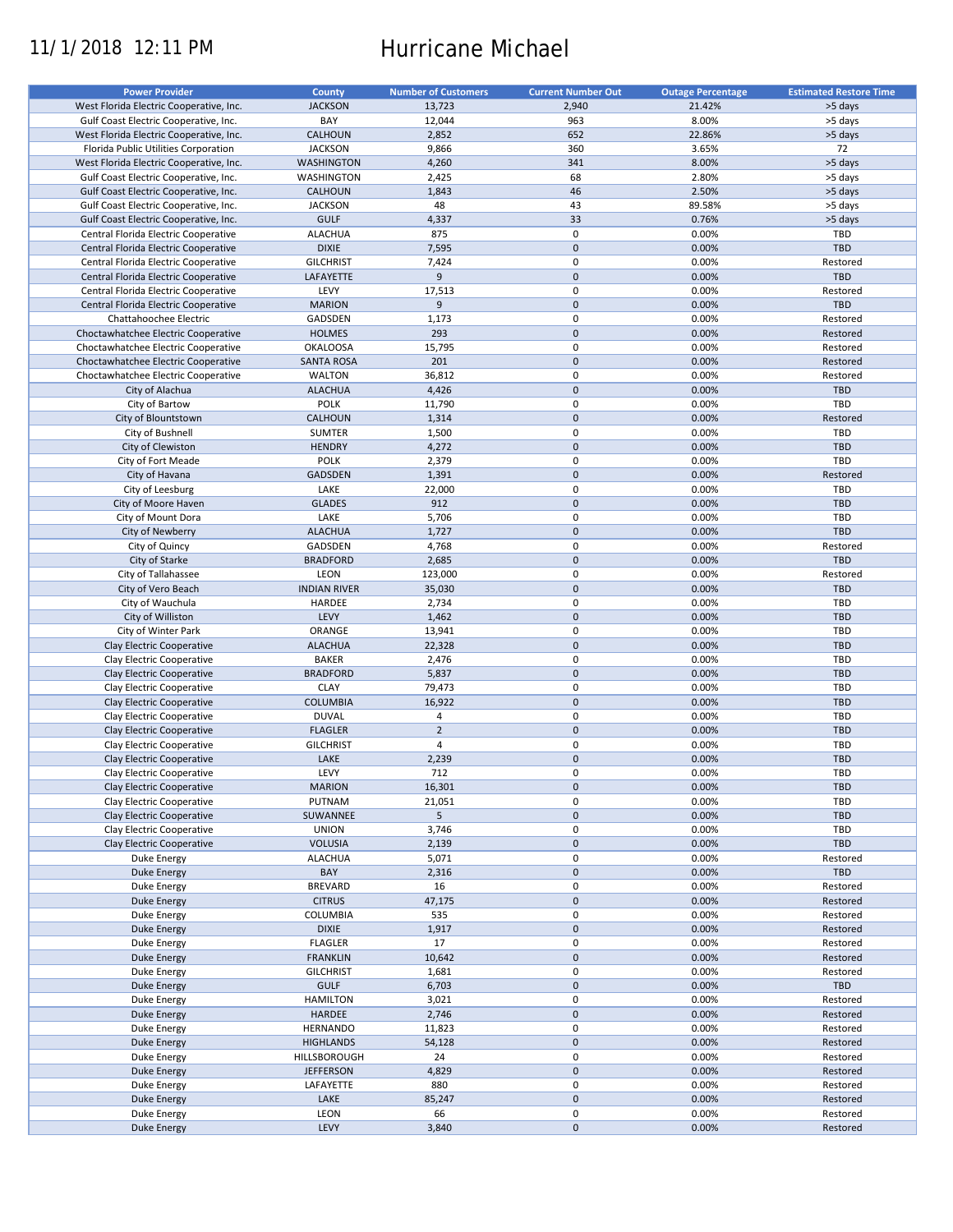# 11/1/2018 12:11 PM Hurricane Michael

| <b>Power Provider</b>                   | <b>County</b>       | <b>Number of Customers</b> | <b>Current Number Out</b> | <b>Outage Percentage</b> | <b>Estimated Restore Time</b> |
|-----------------------------------------|---------------------|----------------------------|---------------------------|--------------------------|-------------------------------|
| West Florida Electric Cooperative, Inc. | <b>JACKSON</b>      | 13,723                     | 2,940                     | 21.42%                   | >5 days                       |
|                                         |                     |                            |                           |                          |                               |
| Gulf Coast Electric Cooperative, Inc.   | BAY                 | 12,044                     | 963                       | 8.00%                    | >5 days                       |
| West Florida Electric Cooperative, Inc. | CALHOUN             | 2,852                      | 652                       | 22.86%                   | >5 days                       |
| Florida Public Utilities Corporation    | <b>JACKSON</b>      | 9,866                      | 360                       | 3.65%                    | 72                            |
| West Florida Electric Cooperative, Inc. | <b>WASHINGTON</b>   | 4,260                      | 341                       | 8.00%                    | >5 days                       |
| Gulf Coast Electric Cooperative, Inc.   | WASHINGTON          | 2,425                      | 68                        | 2.80%                    | >5 days                       |
| Gulf Coast Electric Cooperative, Inc.   | <b>CALHOUN</b>      | 1,843                      | 46                        | 2.50%                    | >5 days                       |
| Gulf Coast Electric Cooperative, Inc.   | <b>JACKSON</b>      | 48                         | 43                        | 89.58%                   | >5 days                       |
| Gulf Coast Electric Cooperative, Inc.   | <b>GULF</b>         | 4,337                      | 33                        | 0.76%                    | >5 days                       |
| Central Florida Electric Cooperative    | <b>ALACHUA</b>      | 875                        | 0                         | 0.00%                    | TBD                           |
| Central Florida Electric Cooperative    |                     |                            | $\pmb{0}$                 |                          | <b>TBD</b>                    |
|                                         | <b>DIXIE</b>        | 7,595                      |                           | 0.00%                    |                               |
| Central Florida Electric Cooperative    | <b>GILCHRIST</b>    | 7,424                      | 0                         | 0.00%                    | Restored                      |
| Central Florida Electric Cooperative    | LAFAYETTE           | 9                          | $\mathbf 0$               | 0.00%                    | TBD                           |
| Central Florida Electric Cooperative    | LEVY                | 17,513                     | 0                         | 0.00%                    | Restored                      |
| Central Florida Electric Cooperative    | <b>MARION</b>       | 9                          | $\pmb{0}$                 | 0.00%                    | TBD                           |
| Chattahoochee Electric                  | GADSDEN             | 1,173                      | 0                         | 0.00%                    | Restored                      |
| Choctawhatchee Electric Cooperative     | <b>HOLMES</b>       | 293                        | $\pmb{0}$                 | 0.00%                    | Restored                      |
| Choctawhatchee Electric Cooperative     | <b>OKALOOSA</b>     | 15,795                     | 0                         | 0.00%                    | Restored                      |
| Choctawhatchee Electric Cooperative     | <b>SANTA ROSA</b>   | 201                        | $\pmb{0}$                 | 0.00%                    | Restored                      |
|                                         |                     |                            |                           |                          |                               |
| Choctawhatchee Electric Cooperative     | <b>WALTON</b>       | 36,812                     | $\mathbf 0$               | 0.00%                    | Restored                      |
| City of Alachua                         | <b>ALACHUA</b>      | 4,426                      | $\pmb{0}$                 | 0.00%                    | TBD                           |
| City of Bartow                          | POLK                | 11,790                     | $\mathbf 0$               | 0.00%                    | TBD                           |
| City of Blountstown                     | <b>CALHOUN</b>      | 1,314                      | $\mathbf 0$               | 0.00%                    | Restored                      |
| City of Bushnell                        | <b>SUMTER</b>       | 1,500                      | $\mathbf 0$               | 0.00%                    | <b>TBD</b>                    |
| City of Clewiston                       | <b>HENDRY</b>       | 4,272                      | $\mathbf 0$               | 0.00%                    | <b>TBD</b>                    |
| City of Fort Meade                      | <b>POLK</b>         | 2,379                      | $\mathbf 0$               | 0.00%                    | TBD                           |
|                                         | GADSDEN             |                            | $\mathbf 0$               | 0.00%                    |                               |
| City of Havana                          |                     | 1,391                      |                           |                          | Restored                      |
| City of Leesburg                        | LAKE                | 22,000                     | 0                         | 0.00%                    | <b>TBD</b>                    |
| City of Moore Haven                     | <b>GLADES</b>       | 912                        | $\mathbf 0$               | 0.00%                    | <b>TBD</b>                    |
| City of Mount Dora                      | LAKE                | 5,706                      | $\mathbf 0$               | 0.00%                    | TBD                           |
| City of Newberry                        | <b>ALACHUA</b>      | 1,727                      | $\mathbf 0$               | 0.00%                    | <b>TBD</b>                    |
| City of Quincy                          | GADSDEN             | 4,768                      | $\mathbf 0$               | 0.00%                    | Restored                      |
| City of Starke                          | <b>BRADFORD</b>     | 2,685                      | $\mathbf 0$               | 0.00%                    | <b>TBD</b>                    |
| City of Tallahassee                     | LEON                | 123,000                    | 0                         | 0.00%                    | Restored                      |
|                                         |                     |                            | $\pmb{0}$                 |                          | <b>TBD</b>                    |
| City of Vero Beach                      | <b>INDIAN RIVER</b> | 35,030                     |                           | 0.00%                    |                               |
| City of Wauchula                        | HARDEE              | 2,734                      | $\mathbf 0$               | 0.00%                    | TBD                           |
| City of Williston                       | LEVY                | 1,462                      | $\pmb{0}$                 | 0.00%                    | <b>TBD</b>                    |
| City of Winter Park                     | ORANGE              | 13,941                     | 0                         | 0.00%                    | <b>TBD</b>                    |
| Clay Electric Cooperative               | <b>ALACHUA</b>      | 22,328                     | $\mathbf 0$               | 0.00%                    | <b>TBD</b>                    |
| Clay Electric Cooperative               | <b>BAKER</b>        | 2,476                      | 0                         | 0.00%                    | TBD                           |
| Clay Electric Cooperative               | <b>BRADFORD</b>     | 5,837                      | $\pmb{0}$                 | 0.00%                    | <b>TBD</b>                    |
| Clay Electric Cooperative               | <b>CLAY</b>         | 79,473                     | 0                         | 0.00%                    | <b>TBD</b>                    |
|                                         | <b>COLUMBIA</b>     | 16,922                     | $\pmb{0}$                 | 0.00%                    | <b>TBD</b>                    |
| Clay Electric Cooperative               |                     |                            |                           |                          |                               |
| Clay Electric Cooperative               | <b>DUVAL</b>        | 4                          | 0                         | 0.00%                    | TBD                           |
| Clay Electric Cooperative               | <b>FLAGLER</b>      | $\overline{2}$             | $\pmb{0}$                 | 0.00%                    | <b>TBD</b>                    |
| Clay Electric Cooperative               | <b>GILCHRIST</b>    | $\overline{4}$             | 0                         | 0.00%                    | TBD                           |
| Clay Electric Cooperative               | LAKE                | 2,239                      | $\mathbf 0$               | 0.00%                    | <b>TBD</b>                    |
| Clay Electric Cooperative               | LEVY                | 712                        | $\mathbf 0$               | 0.00%                    | <b>TBD</b>                    |
| Clay Electric Cooperative               | <b>MARION</b>       | 16,301                     | $\pmb{0}$                 | 0.00%                    | <b>TBD</b>                    |
| Clay Electric Cooperative               | PUTNAM              | 21,051                     | 0                         | 0.00%                    | TBD                           |
| Clay Electric Cooperative               |                     |                            | $\mathbf 0$               |                          | <b>TBD</b>                    |
|                                         | SUWANNEE            | 5                          |                           | 0.00%                    |                               |
| Clay Electric Cooperative               | <b>UNION</b>        | 3,746                      | 0                         | 0.00%                    | TBD                           |
| Clay Electric Cooperative               | <b>VOLUSIA</b>      | 2,139                      | $\pmb{0}$                 | 0.00%                    | TBD                           |
| Duke Energy                             | <b>ALACHUA</b>      | 5,071                      | 0                         | 0.00%                    | Restored                      |
| <b>Duke Energy</b>                      | BAY                 | 2,316                      | $\pmb{0}$                 | 0.00%                    | TBD                           |
| Duke Energy                             | <b>BREVARD</b>      | 16                         | $\pmb{0}$                 | 0.00%                    | Restored                      |
| Duke Energy                             | <b>CITRUS</b>       | 47,175                     | $\pmb{0}$                 | 0.00%                    | Restored                      |
| Duke Energy                             | <b>COLUMBIA</b>     | 535                        | 0                         | 0.00%                    | Restored                      |
|                                         |                     |                            |                           |                          |                               |
| Duke Energy                             | <b>DIXIE</b>        | 1,917                      | $\pmb{0}$                 | 0.00%                    | Restored                      |
| Duke Energy                             | <b>FLAGLER</b>      | 17                         | 0                         | 0.00%                    | Restored                      |
| Duke Energy                             | <b>FRANKLIN</b>     | 10,642                     | $\pmb{0}$                 | 0.00%                    | Restored                      |
| Duke Energy                             | <b>GILCHRIST</b>    | 1,681                      | 0                         | 0.00%                    | Restored                      |
| <b>Duke Energy</b>                      | <b>GULF</b>         | 6,703                      | $\pmb{0}$                 | 0.00%                    | TBD                           |
| Duke Energy                             | <b>HAMILTON</b>     | 3,021                      | 0                         | 0.00%                    | Restored                      |
| <b>Duke Energy</b>                      | HARDEE              | 2,746                      | $\pmb{0}$                 | 0.00%                    | Restored                      |
|                                         |                     |                            | $\pmb{0}$                 |                          |                               |
| Duke Energy                             | HERNANDO            | 11,823                     |                           | 0.00%                    | Restored                      |
| <b>Duke Energy</b>                      | <b>HIGHLANDS</b>    | 54,128                     | $\pmb{0}$                 | 0.00%                    | Restored                      |
| Duke Energy                             | HILLSBOROUGH        | 24                         | 0                         | 0.00%                    | Restored                      |
| Duke Energy                             | <b>JEFFERSON</b>    | 4,829                      | $\pmb{0}$                 | 0.00%                    | Restored                      |
| Duke Energy                             | LAFAYETTE           | 880                        | 0                         | 0.00%                    | Restored                      |
| <b>Duke Energy</b>                      | LAKE                | 85,247                     | $\pmb{0}$                 | 0.00%                    | Restored                      |
| Duke Energy                             | LEON                | 66                         | $\pmb{0}$                 | 0.00%                    | Restored                      |
| <b>Duke Energy</b>                      | LEVY                | 3,840                      | $\pmb{0}$                 | 0.00%                    | Restored                      |
|                                         |                     |                            |                           |                          |                               |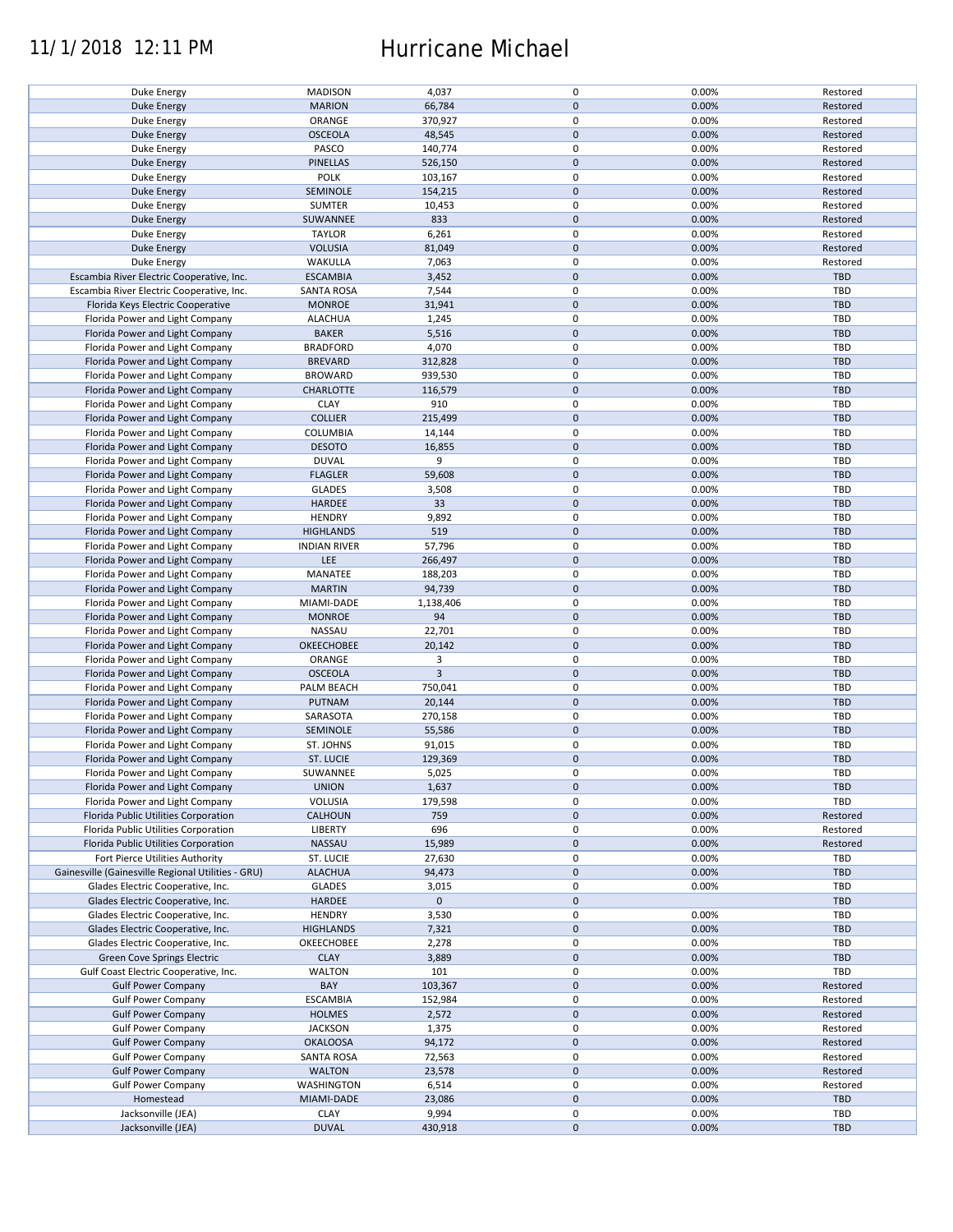## 11/1/2018 12:11 PM Hurricane Michael

| Duke Energy                                        | <b>MADISON</b>      | 4,037          | 0           | 0.00% | Restored   |
|----------------------------------------------------|---------------------|----------------|-------------|-------|------------|
| <b>Duke Energy</b>                                 | <b>MARION</b>       | 66,784         | $\mathbf 0$ | 0.00% | Restored   |
|                                                    |                     |                |             |       |            |
| Duke Energy                                        | ORANGE              | 370,927        | 0           | 0.00% | Restored   |
| Duke Energy                                        | <b>OSCEOLA</b>      | 48,545         | $\mathbf 0$ | 0.00% | Restored   |
| Duke Energy                                        | PASCO               | 140,774        | 0           | 0.00% | Restored   |
|                                                    |                     |                |             |       |            |
| <b>Duke Energy</b>                                 | <b>PINELLAS</b>     | 526,150        | $\mathbf 0$ | 0.00% | Restored   |
| Duke Energy                                        | POLK                | 103,167        | $\mathbf 0$ | 0.00% | Restored   |
|                                                    |                     |                | $\mathbf 0$ |       |            |
| Duke Energy                                        | SEMINOLE            | 154,215        |             | 0.00% | Restored   |
| Duke Energy                                        | <b>SUMTER</b>       | 10,453         | 0           | 0.00% | Restored   |
| <b>Duke Energy</b>                                 | SUWANNEE            | 833            | $\mathbf 0$ | 0.00% | Restored   |
|                                                    |                     |                |             |       |            |
| Duke Energy                                        | <b>TAYLOR</b>       | 6,261          | 0           | 0.00% | Restored   |
| <b>Duke Energy</b>                                 | <b>VOLUSIA</b>      | 81,049         | $\mathbf 0$ | 0.00% | Restored   |
| Duke Energy                                        | WAKULLA             | 7,063          | 0           | 0.00% | Restored   |
|                                                    |                     |                |             |       |            |
| Escambia River Electric Cooperative, Inc.          | <b>ESCAMBIA</b>     | 3,452          | $\mathbf 0$ | 0.00% | <b>TBD</b> |
| Escambia River Electric Cooperative, Inc.          | <b>SANTA ROSA</b>   | 7,544          | $\mathbf 0$ | 0.00% | <b>TBD</b> |
| Florida Keys Electric Cooperative                  | <b>MONROE</b>       | 31,941         | $\mathbf 0$ | 0.00% | <b>TBD</b> |
|                                                    |                     |                |             |       |            |
| Florida Power and Light Company                    | <b>ALACHUA</b>      | 1,245          | 0           | 0.00% | <b>TBD</b> |
| Florida Power and Light Company                    | <b>BAKER</b>        | 5,516          | $\mathbf 0$ | 0.00% | <b>TBD</b> |
|                                                    |                     |                |             |       |            |
| Florida Power and Light Company                    | <b>BRADFORD</b>     | 4,070          | $\pmb{0}$   | 0.00% | <b>TBD</b> |
| Florida Power and Light Company                    | <b>BREVARD</b>      | 312,828        | $\mathbf 0$ | 0.00% | <b>TBD</b> |
| Florida Power and Light Company                    | <b>BROWARD</b>      | 939,530        | $\pmb{0}$   | 0.00% | <b>TBD</b> |
|                                                    |                     |                |             |       |            |
| Florida Power and Light Company                    | CHARLOTTE           | 116,579        | $\mathbf 0$ | 0.00% | <b>TBD</b> |
| Florida Power and Light Company                    | <b>CLAY</b>         | 910            | $\mathbf 0$ | 0.00% | <b>TBD</b> |
|                                                    |                     |                | $\mathbf 0$ |       |            |
| Florida Power and Light Company                    | <b>COLLIER</b>      | 215,499        |             | 0.00% | <b>TBD</b> |
| Florida Power and Light Company                    | <b>COLUMBIA</b>     | 14,144         | 0           | 0.00% | <b>TBD</b> |
| Florida Power and Light Company                    | <b>DESOTO</b>       | 16,855         | $\mathbf 0$ | 0.00% | <b>TBD</b> |
|                                                    |                     |                |             |       |            |
| Florida Power and Light Company                    | <b>DUVAL</b>        | 9              | 0           | 0.00% | <b>TBD</b> |
| Florida Power and Light Company                    | <b>FLAGLER</b>      | 59,608         | $\mathbf 0$ | 0.00% | <b>TBD</b> |
| Florida Power and Light Company                    | <b>GLADES</b>       | 3,508          | 0           | 0.00% | <b>TBD</b> |
|                                                    |                     |                |             |       |            |
| Florida Power and Light Company                    | <b>HARDEE</b>       | 33             | $\mathbf 0$ | 0.00% | <b>TBD</b> |
| Florida Power and Light Company                    | <b>HENDRY</b>       | 9,892          | $\mathbf 0$ | 0.00% | TBD        |
| Florida Power and Light Company                    | <b>HIGHLANDS</b>    | 519            | $\mathbf 0$ | 0.00% | <b>TBD</b> |
|                                                    |                     |                |             |       |            |
| Florida Power and Light Company                    | <b>INDIAN RIVER</b> | 57,796         | 0           | 0.00% | <b>TBD</b> |
| Florida Power and Light Company                    | <b>LEE</b>          | 266,497        | $\mathbf 0$ | 0.00% | <b>TBD</b> |
|                                                    |                     |                |             |       |            |
| Florida Power and Light Company                    | MANATEE             | 188,203        | 0           | 0.00% | TBD        |
| Florida Power and Light Company                    | <b>MARTIN</b>       | 94,739         | $\mathbf 0$ | 0.00% | <b>TBD</b> |
| Florida Power and Light Company                    | MIAMI-DADE          | 1,138,406      | $\pmb{0}$   | 0.00% | <b>TBD</b> |
|                                                    |                     |                |             |       |            |
| Florida Power and Light Company                    | <b>MONROE</b>       | 94             | $\mathbf 0$ | 0.00% | <b>TBD</b> |
| Florida Power and Light Company                    | NASSAU              | 22,701         | $\pmb{0}$   | 0.00% | TBD        |
| Florida Power and Light Company                    | OKEECHOBEE          | 20,142         | $\mathbf 0$ | 0.00% | <b>TBD</b> |
|                                                    |                     |                |             |       |            |
| Florida Power and Light Company                    | ORANGE              | 3              | $\mathbf 0$ | 0.00% | <b>TBD</b> |
| Florida Power and Light Company                    | <b>OSCEOLA</b>      | $\overline{3}$ | $\mathbf 0$ | 0.00% | <b>TBD</b> |
| Florida Power and Light Company                    | PALM BEACH          | 750,041        | $\pmb{0}$   | 0.00% | <b>TBD</b> |
|                                                    |                     |                |             |       |            |
| Florida Power and Light Company                    | PUTNAM              | 20,144         | $\mathbf 0$ | 0.00% | <b>TBD</b> |
| Florida Power and Light Company                    | SARASOTA            | 270,158        | $\mathbf 0$ | 0.00% | TBD        |
|                                                    |                     |                |             |       |            |
| Florida Power and Light Company                    | SEMINOLE            | 55,586         | $\mathbf 0$ | 0.00% | <b>TBD</b> |
| Florida Power and Light Company                    | ST. JOHNS           | 91,015         | 0           | 0.00% | <b>TBD</b> |
| Florida Power and Light Company                    | <b>ST. LUCIE</b>    | 129,369        | $\mathbf 0$ | 0.00% | <b>TBD</b> |
|                                                    |                     |                |             |       |            |
| Florida Power and Light Company                    | SUWANNEE            | 5,025          | $\mathbf 0$ | 0.00% | <b>TBD</b> |
| Florida Power and Light Company                    | <b>UNION</b>        | 1,637          | $\pmb{0}$   | 0.00% | <b>TBD</b> |
|                                                    |                     |                |             |       | <b>TBD</b> |
| Florida Power and Light Company                    | VOLUSIA             | 179,598        | 0           | 0.00% |            |
| Florida Public Utilities Corporation               | <b>CALHOUN</b>      | 759            | $\mathbf 0$ | 0.00% | Restored   |
| Florida Public Utilities Corporation               | LIBERTY             | 696            | 0           | 0.00% | Restored   |
|                                                    |                     |                |             |       |            |
| Florida Public Utilities Corporation               | NASSAU              | 15,989         | $\mathbf 0$ | 0.00% | Restored   |
| Fort Pierce Utilities Authority                    | ST. LUCIE           | 27,630         | 0           | 0.00% | <b>TBD</b> |
| Gainesville (Gainesville Regional Utilities - GRU) | <b>ALACHUA</b>      | 94,473         | $\mathbf 0$ | 0.00% | <b>TBD</b> |
|                                                    |                     |                |             |       |            |
| Glades Electric Cooperative, Inc.                  | <b>GLADES</b>       | 3,015          | 0           | 0.00% | <b>TBD</b> |
| Glades Electric Cooperative, Inc.                  | HARDEE              | $\mathbf 0$    | $\mathbf 0$ |       | <b>TBD</b> |
| Glades Electric Cooperative, Inc.                  | <b>HENDRY</b>       | 3,530          | 0           | 0.00% | <b>TBD</b> |
|                                                    |                     |                |             |       |            |
| Glades Electric Cooperative, Inc.                  | <b>HIGHLANDS</b>    | 7,321          | $\pmb{0}$   | 0.00% | <b>TBD</b> |
| Glades Electric Cooperative, Inc.                  | OKEECHOBEE          | 2,278          | 0           | 0.00% | <b>TBD</b> |
| Green Cove Springs Electric                        | <b>CLAY</b>         | 3,889          | $\mathbf 0$ | 0.00% | <b>TBD</b> |
|                                                    |                     |                |             |       |            |
| Gulf Coast Electric Cooperative, Inc.              | <b>WALTON</b>       | 101            | 0           | 0.00% | TBD        |
| <b>Gulf Power Company</b>                          | BAY                 | 103,367        | $\mathbf 0$ | 0.00% | Restored   |
| <b>Gulf Power Company</b>                          | <b>ESCAMBIA</b>     | 152,984        | 0           | 0.00% | Restored   |
|                                                    |                     |                |             |       |            |
| <b>Gulf Power Company</b>                          | <b>HOLMES</b>       | 2,572          | $\pmb{0}$   | 0.00% | Restored   |
| <b>Gulf Power Company</b>                          | <b>JACKSON</b>      | 1,375          | $\pmb{0}$   | 0.00% | Restored   |
| <b>Gulf Power Company</b>                          | <b>OKALOOSA</b>     | 94,172         | $\pmb{0}$   | 0.00% | Restored   |
|                                                    |                     |                |             |       |            |
| <b>Gulf Power Company</b>                          | <b>SANTA ROSA</b>   | 72,563         | 0           | 0.00% | Restored   |
| <b>Gulf Power Company</b>                          | <b>WALTON</b>       | 23,578         | $\mathbf 0$ | 0.00% | Restored   |
|                                                    | WASHINGTON          | 6,514          | 0           | 0.00% | Restored   |
| <b>Gulf Power Company</b>                          |                     |                |             |       |            |
| Homestead                                          | MIAMI-DADE          | 23,086         | $\mathbf 0$ | 0.00% | <b>TBD</b> |
| Jacksonville (JEA)                                 | <b>CLAY</b>         | 9,994          | 0           | 0.00% | <b>TBD</b> |
|                                                    | <b>DUVAL</b>        | 430,918        | $\pmb{0}$   | 0.00% | <b>TBD</b> |
| Jacksonville (JEA)                                 |                     |                |             |       |            |